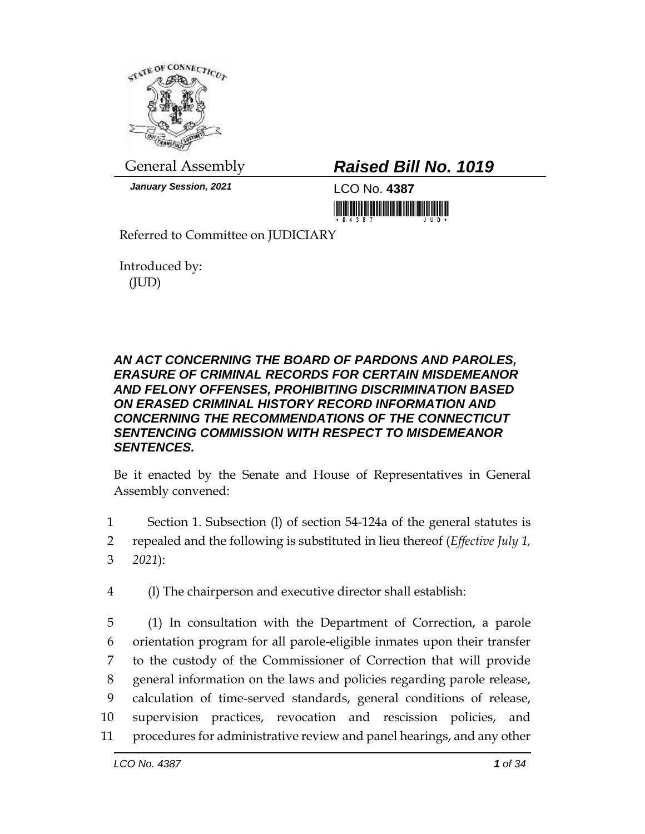

*January Session, 2021* LCO No. **4387**

## General Assembly *Raised Bill No. 1019*

<u> III di kacamatan ing Kabupatèn III di Kabupatèn III di Kabupatèn III di Kabupatèn III di Kabupatèn III di Ka</u>

Referred to Committee on JUDICIARY

Introduced by: (JUD)

## *AN ACT CONCERNING THE BOARD OF PARDONS AND PAROLES, ERASURE OF CRIMINAL RECORDS FOR CERTAIN MISDEMEANOR AND FELONY OFFENSES, PROHIBITING DISCRIMINATION BASED ON ERASED CRIMINAL HISTORY RECORD INFORMATION AND CONCERNING THE RECOMMENDATIONS OF THE CONNECTICUT SENTENCING COMMISSION WITH RESPECT TO MISDEMEANOR SENTENCES.*

Be it enacted by the Senate and House of Representatives in General Assembly convened:

- 1 Section 1. Subsection (l) of section 54-124a of the general statutes is
- 2 repealed and the following is substituted in lieu thereof (*Effective July 1,*  3 *2021*):
- 4 (l) The chairperson and executive director shall establish:

 (1) In consultation with the Department of Correction, a parole orientation program for all parole-eligible inmates upon their transfer to the custody of the Commissioner of Correction that will provide general information on the laws and policies regarding parole release, calculation of time-served standards, general conditions of release, supervision practices, revocation and rescission policies, and procedures for administrative review and panel hearings, and any other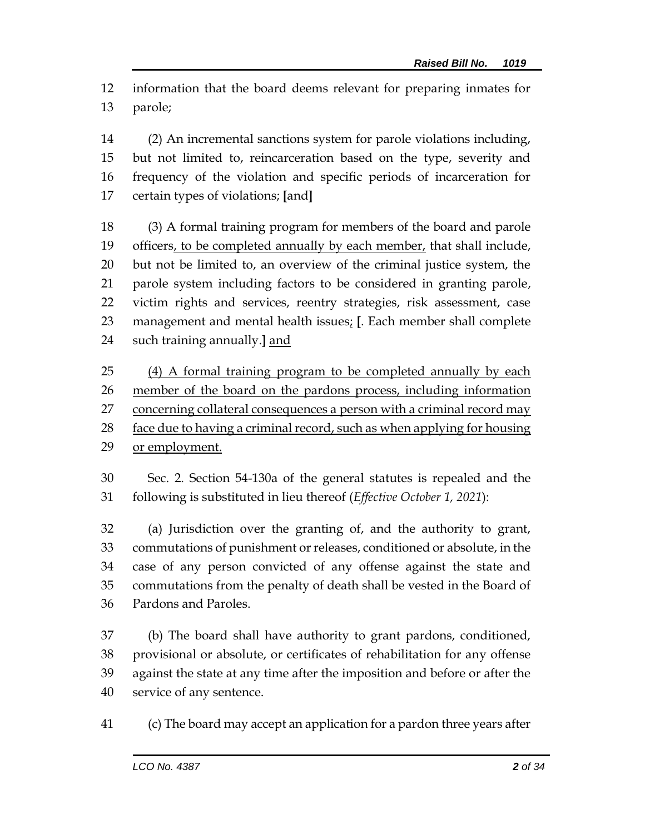information that the board deems relevant for preparing inmates for parole;

 (2) An incremental sanctions system for parole violations including, but not limited to, reincarceration based on the type, severity and frequency of the violation and specific periods of incarceration for certain types of violations; **[**and**]**

 (3) A formal training program for members of the board and parole 19 officers, to be completed annually by each member, that shall include, but not be limited to, an overview of the criminal justice system, the parole system including factors to be considered in granting parole, victim rights and services, reentry strategies, risk assessment, case management and mental health issues; **[**. Each member shall complete such training annually.**]** and

 (4) A formal training program to be completed annually by each member of the board on the pardons process, including information 27 concerning collateral consequences a person with a criminal record may 28 face due to having a criminal record, such as when applying for housing or employment.

 Sec. 2. Section 54-130a of the general statutes is repealed and the following is substituted in lieu thereof (*Effective October 1, 2021*):

 (a) Jurisdiction over the granting of, and the authority to grant, commutations of punishment or releases, conditioned or absolute, in the case of any person convicted of any offense against the state and commutations from the penalty of death shall be vested in the Board of Pardons and Paroles.

 (b) The board shall have authority to grant pardons, conditioned, provisional or absolute, or certificates of rehabilitation for any offense against the state at any time after the imposition and before or after the service of any sentence.

(c) The board may accept an application for a pardon three years after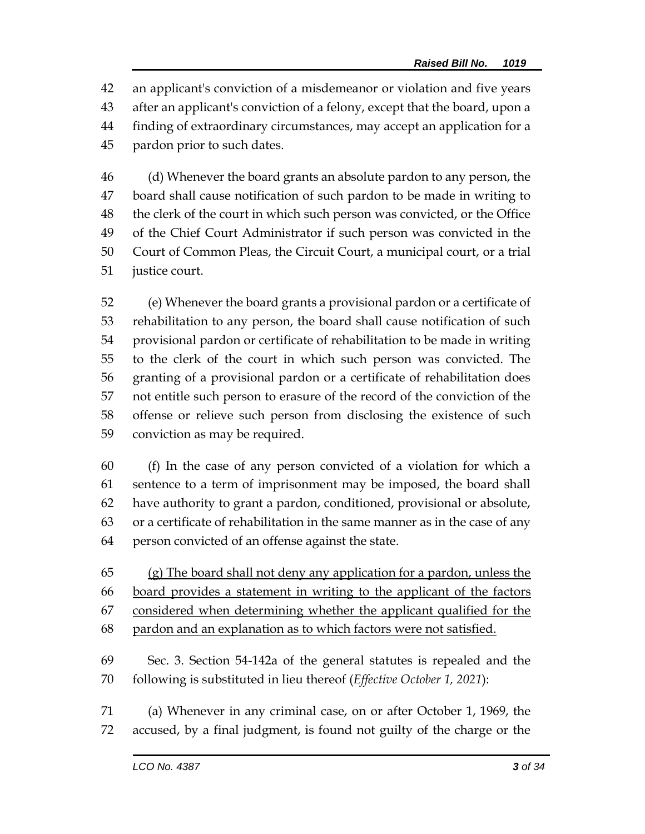an applicant's conviction of a misdemeanor or violation and five years after an applicant's conviction of a felony, except that the board, upon a finding of extraordinary circumstances, may accept an application for a pardon prior to such dates.

 (d) Whenever the board grants an absolute pardon to any person, the board shall cause notification of such pardon to be made in writing to the clerk of the court in which such person was convicted, or the Office of the Chief Court Administrator if such person was convicted in the Court of Common Pleas, the Circuit Court, a municipal court, or a trial justice court.

 (e) Whenever the board grants a provisional pardon or a certificate of rehabilitation to any person, the board shall cause notification of such provisional pardon or certificate of rehabilitation to be made in writing to the clerk of the court in which such person was convicted. The granting of a provisional pardon or a certificate of rehabilitation does not entitle such person to erasure of the record of the conviction of the offense or relieve such person from disclosing the existence of such conviction as may be required.

 (f) In the case of any person convicted of a violation for which a sentence to a term of imprisonment may be imposed, the board shall have authority to grant a pardon, conditioned, provisional or absolute, or a certificate of rehabilitation in the same manner as in the case of any person convicted of an offense against the state.

 (g) The board shall not deny any application for a pardon, unless the board provides a statement in writing to the applicant of the factors considered when determining whether the applicant qualified for the pardon and an explanation as to which factors were not satisfied. Sec. 3. Section 54-142a of the general statutes is repealed and the

following is substituted in lieu thereof (*Effective October 1, 2021*):

 (a) Whenever in any criminal case, on or after October 1, 1969, the accused, by a final judgment, is found not guilty of the charge or the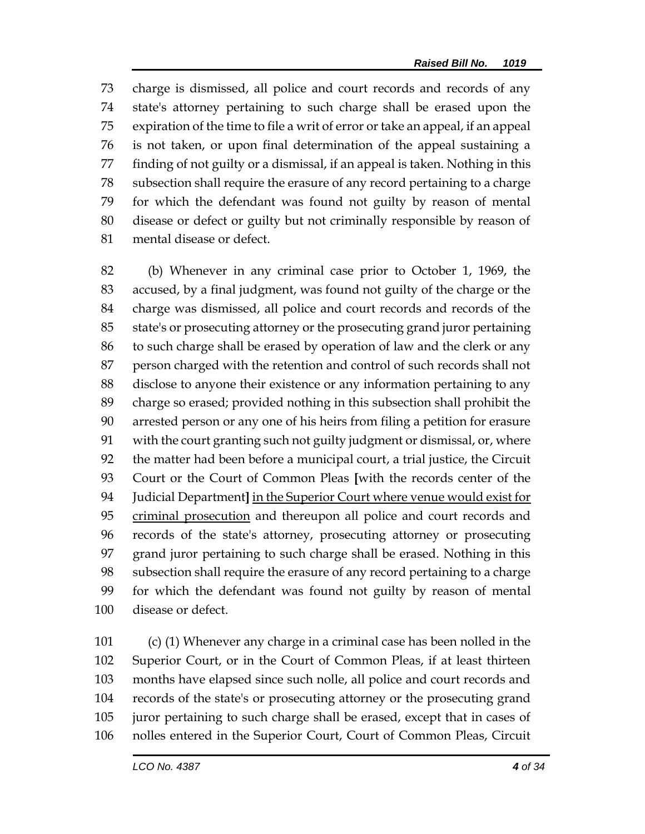charge is dismissed, all police and court records and records of any state's attorney pertaining to such charge shall be erased upon the expiration of the time to file a writ of error or take an appeal, if an appeal is not taken, or upon final determination of the appeal sustaining a finding of not guilty or a dismissal, if an appeal is taken. Nothing in this subsection shall require the erasure of any record pertaining to a charge for which the defendant was found not guilty by reason of mental disease or defect or guilty but not criminally responsible by reason of mental disease or defect.

 (b) Whenever in any criminal case prior to October 1, 1969, the accused, by a final judgment, was found not guilty of the charge or the charge was dismissed, all police and court records and records of the state's or prosecuting attorney or the prosecuting grand juror pertaining to such charge shall be erased by operation of law and the clerk or any person charged with the retention and control of such records shall not disclose to anyone their existence or any information pertaining to any charge so erased; provided nothing in this subsection shall prohibit the arrested person or any one of his heirs from filing a petition for erasure with the court granting such not guilty judgment or dismissal, or, where the matter had been before a municipal court, a trial justice, the Circuit Court or the Court of Common Pleas **[**with the records center of the Judicial Department**]** in the Superior Court where venue would exist for criminal prosecution and thereupon all police and court records and records of the state's attorney, prosecuting attorney or prosecuting grand juror pertaining to such charge shall be erased. Nothing in this subsection shall require the erasure of any record pertaining to a charge for which the defendant was found not guilty by reason of mental disease or defect.

 (c) (1) Whenever any charge in a criminal case has been nolled in the Superior Court, or in the Court of Common Pleas, if at least thirteen months have elapsed since such nolle, all police and court records and records of the state's or prosecuting attorney or the prosecuting grand juror pertaining to such charge shall be erased, except that in cases of nolles entered in the Superior Court, Court of Common Pleas, Circuit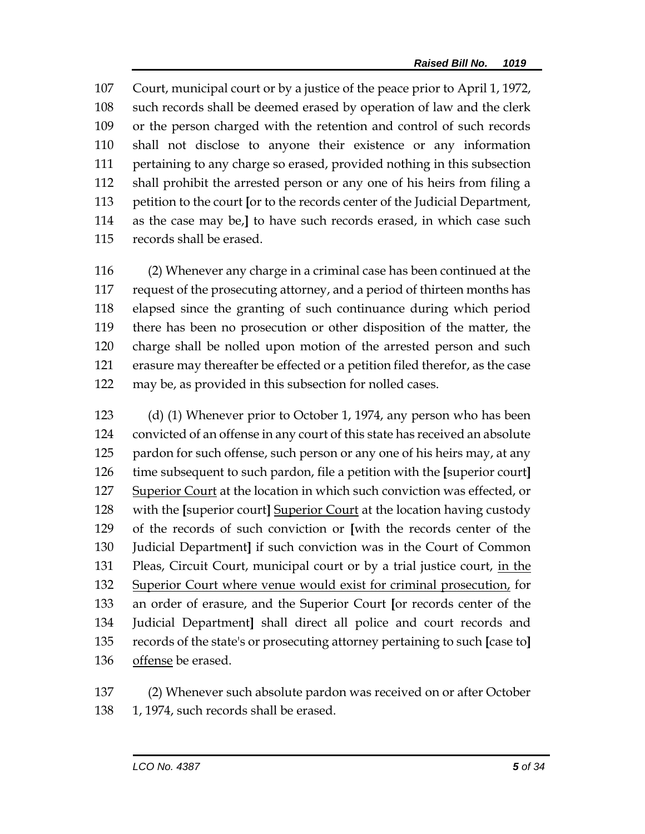Court, municipal court or by a justice of the peace prior to April 1, 1972, such records shall be deemed erased by operation of law and the clerk or the person charged with the retention and control of such records shall not disclose to anyone their existence or any information pertaining to any charge so erased, provided nothing in this subsection shall prohibit the arrested person or any one of his heirs from filing a petition to the court **[**or to the records center of the Judicial Department, as the case may be,**]** to have such records erased, in which case such records shall be erased.

 (2) Whenever any charge in a criminal case has been continued at the request of the prosecuting attorney, and a period of thirteen months has elapsed since the granting of such continuance during which period there has been no prosecution or other disposition of the matter, the charge shall be nolled upon motion of the arrested person and such erasure may thereafter be effected or a petition filed therefor, as the case may be, as provided in this subsection for nolled cases.

 (d) (1) Whenever prior to October 1, 1974, any person who has been convicted of an offense in any court of this state has received an absolute 125 pardon for such offense, such person or any one of his heirs may, at any time subsequent to such pardon, file a petition with the **[**superior court**]** 127 Superior Court at the location in which such conviction was effected, or with the **[**superior court**]** Superior Court at the location having custody of the records of such conviction or **[**with the records center of the Judicial Department**]** if such conviction was in the Court of Common 131 Pleas, Circuit Court, municipal court or by a trial justice court, in the Superior Court where venue would exist for criminal prosecution, for an order of erasure, and the Superior Court **[**or records center of the Judicial Department**]** shall direct all police and court records and records of the state's or prosecuting attorney pertaining to such **[**case to**]** offense be erased.

 (2) Whenever such absolute pardon was received on or after October 138 1, 1974, such records shall be erased.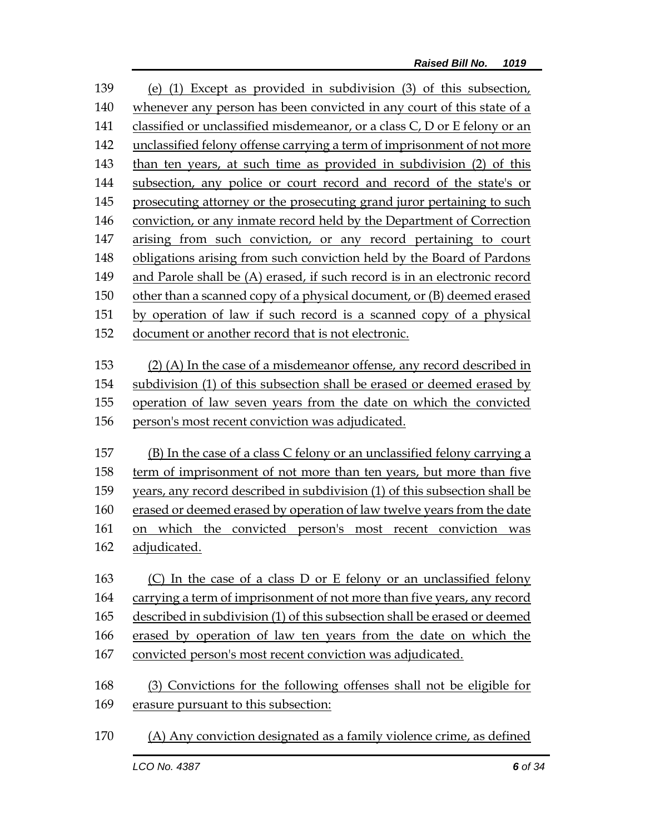(e) (1) Except as provided in subdivision (3) of this subsection, whenever any person has been convicted in any court of this state of a 141 classified or unclassified misdemeanor, or a class C, D or E felony or an unclassified felony offense carrying a term of imprisonment of not more than ten years, at such time as provided in subdivision (2) of this subsection, any police or court record and record of the state's or prosecuting attorney or the prosecuting grand juror pertaining to such conviction, or any inmate record held by the Department of Correction arising from such conviction, or any record pertaining to court obligations arising from such conviction held by the Board of Pardons and Parole shall be (A) erased, if such record is in an electronic record other than a scanned copy of a physical document, or (B) deemed erased by operation of law if such record is a scanned copy of a physical document or another record that is not electronic. (2) (A) In the case of a misdemeanor offense, any record described in subdivision (1) of this subsection shall be erased or deemed erased by operation of law seven years from the date on which the convicted person's most recent conviction was adjudicated. (B) In the case of a class C felony or an unclassified felony carrying a term of imprisonment of not more than ten years, but more than five years, any record described in subdivision (1) of this subsection shall be erased or deemed erased by operation of law twelve years from the date on which the convicted person's most recent conviction was adjudicated. (C) In the case of a class D or E felony or an unclassified felony carrying a term of imprisonment of not more than five years, any record described in subdivision (1) of this subsection shall be erased or deemed erased by operation of law ten years from the date on which the convicted person's most recent conviction was adjudicated. (3) Convictions for the following offenses shall not be eligible for erasure pursuant to this subsection: (A) Any conviction designated as a family violence crime, as defined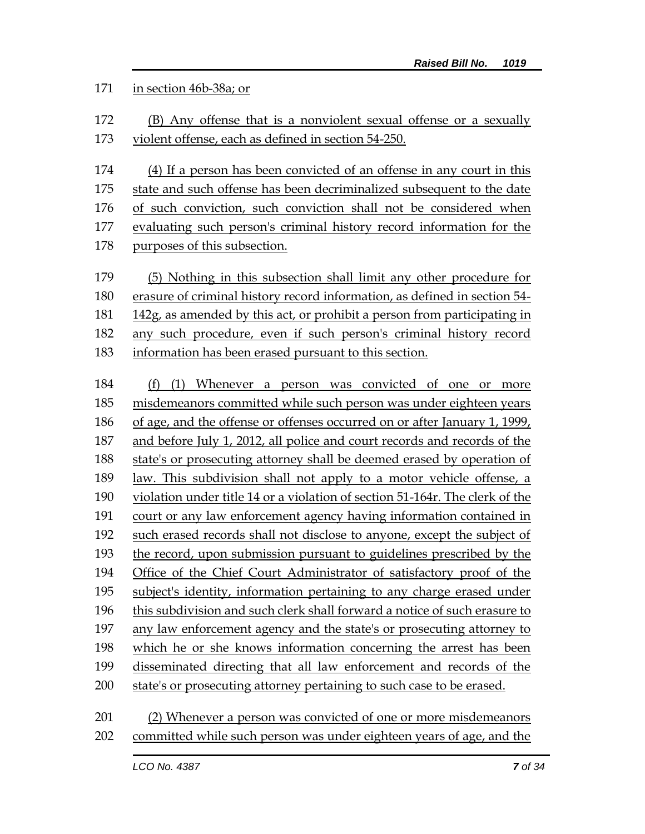## in section 46b-38a; or

- (B) Any offense that is a nonviolent sexual offense or a sexually violent offense, each as defined in section 54-250.
- (4) If a person has been convicted of an offense in any court in this
- state and such offense has been decriminalized subsequent to the date
- of such conviction, such conviction shall not be considered when
- evaluating such person's criminal history record information for the
- purposes of this subsection.
- (5) Nothing in this subsection shall limit any other procedure for erasure of criminal history record information, as defined in section 54- 142g, as amended by this act, or prohibit a person from participating in any such procedure, even if such person's criminal history record information has been erased pursuant to this section.
- (f) (1) Whenever a person was convicted of one or more misdemeanors committed while such person was under eighteen years of age, and the offense or offenses occurred on or after January 1, 1999, and before July 1, 2012, all police and court records and records of the state's or prosecuting attorney shall be deemed erased by operation of law. This subdivision shall not apply to a motor vehicle offense, a violation under title 14 or a violation of section 51-164r. The clerk of the court or any law enforcement agency having information contained in such erased records shall not disclose to anyone, except the subject of the record, upon submission pursuant to guidelines prescribed by the Office of the Chief Court Administrator of satisfactory proof of the subject's identity, information pertaining to any charge erased under this subdivision and such clerk shall forward a notice of such erasure to any law enforcement agency and the state's or prosecuting attorney to which he or she knows information concerning the arrest has been disseminated directing that all law enforcement and records of the state's or prosecuting attorney pertaining to such case to be erased.
- (2) Whenever a person was convicted of one or more misdemeanors committed while such person was under eighteen years of age, and the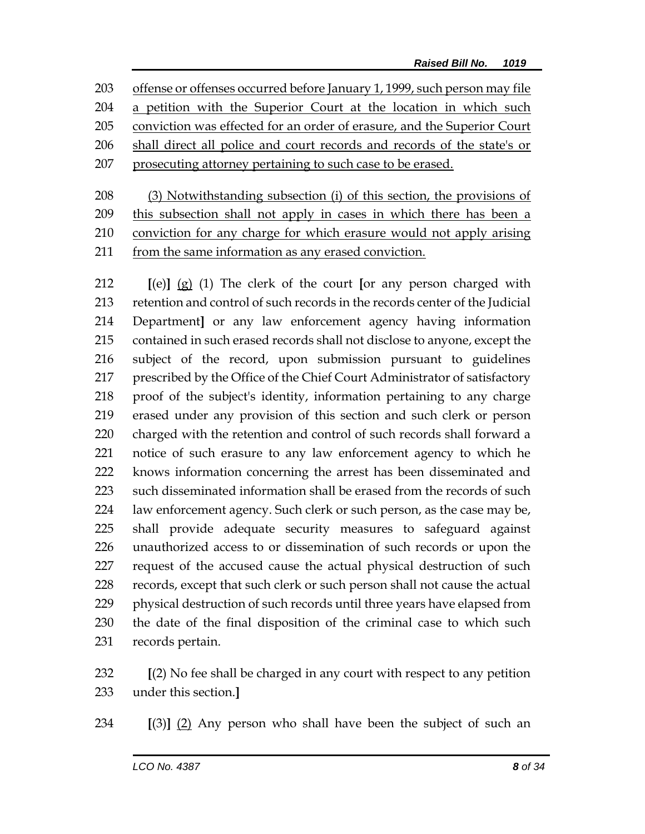offense or offenses occurred before January 1, 1999, such person may file a petition with the Superior Court at the location in which such conviction was effected for an order of erasure, and the Superior Court shall direct all police and court records and records of the state's or prosecuting attorney pertaining to such case to be erased.

 (3) Notwithstanding subsection (i) of this section, the provisions of 209 this subsection shall not apply in cases in which there has been a conviction for any charge for which erasure would not apply arising from the same information as any erased conviction.

 **[**(e)**]** (g) (1) The clerk of the court **[**or any person charged with retention and control of such records in the records center of the Judicial Department**]** or any law enforcement agency having information contained in such erased records shall not disclose to anyone, except the subject of the record, upon submission pursuant to guidelines prescribed by the Office of the Chief Court Administrator of satisfactory proof of the subject's identity, information pertaining to any charge erased under any provision of this section and such clerk or person charged with the retention and control of such records shall forward a notice of such erasure to any law enforcement agency to which he knows information concerning the arrest has been disseminated and such disseminated information shall be erased from the records of such law enforcement agency. Such clerk or such person, as the case may be, shall provide adequate security measures to safeguard against unauthorized access to or dissemination of such records or upon the request of the accused cause the actual physical destruction of such records, except that such clerk or such person shall not cause the actual physical destruction of such records until three years have elapsed from the date of the final disposition of the criminal case to which such records pertain.

 **[**(2) No fee shall be charged in any court with respect to any petition under this section.**]**

**[**(3)**]** (2) Any person who shall have been the subject of such an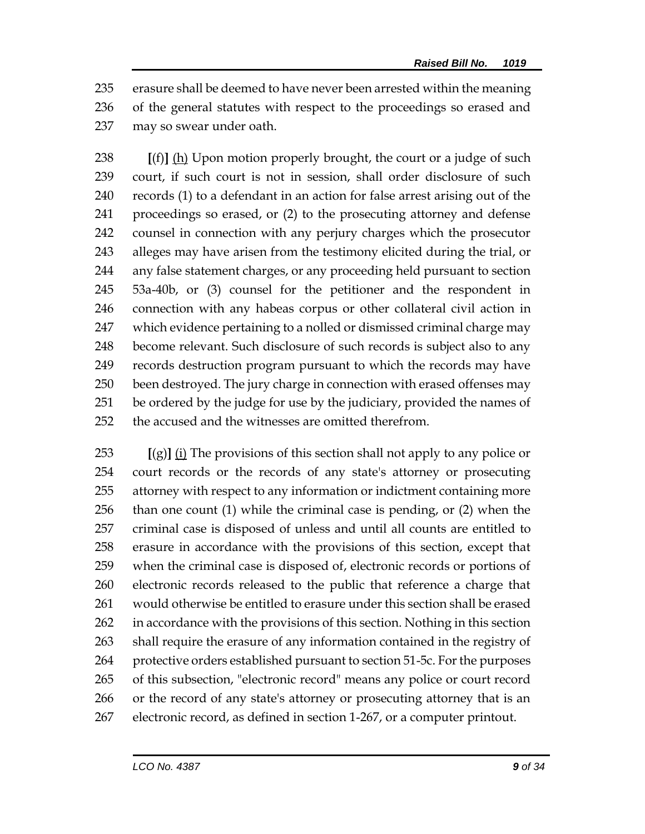erasure shall be deemed to have never been arrested within the meaning of the general statutes with respect to the proceedings so erased and may so swear under oath.

 **[**(f)**]** (h) Upon motion properly brought, the court or a judge of such court, if such court is not in session, shall order disclosure of such records (1) to a defendant in an action for false arrest arising out of the proceedings so erased, or (2) to the prosecuting attorney and defense counsel in connection with any perjury charges which the prosecutor alleges may have arisen from the testimony elicited during the trial, or any false statement charges, or any proceeding held pursuant to section 53a-40b, or (3) counsel for the petitioner and the respondent in connection with any habeas corpus or other collateral civil action in which evidence pertaining to a nolled or dismissed criminal charge may become relevant. Such disclosure of such records is subject also to any records destruction program pursuant to which the records may have been destroyed. The jury charge in connection with erased offenses may be ordered by the judge for use by the judiciary, provided the names of the accused and the witnesses are omitted therefrom.

 **[**(g)**]** (i) The provisions of this section shall not apply to any police or court records or the records of any state's attorney or prosecuting attorney with respect to any information or indictment containing more than one count (1) while the criminal case is pending, or (2) when the criminal case is disposed of unless and until all counts are entitled to erasure in accordance with the provisions of this section, except that when the criminal case is disposed of, electronic records or portions of electronic records released to the public that reference a charge that would otherwise be entitled to erasure under this section shall be erased in accordance with the provisions of this section. Nothing in this section shall require the erasure of any information contained in the registry of protective orders established pursuant to section 51-5c. For the purposes of this subsection, "electronic record" means any police or court record or the record of any state's attorney or prosecuting attorney that is an electronic record, as defined in section 1-267, or a computer printout.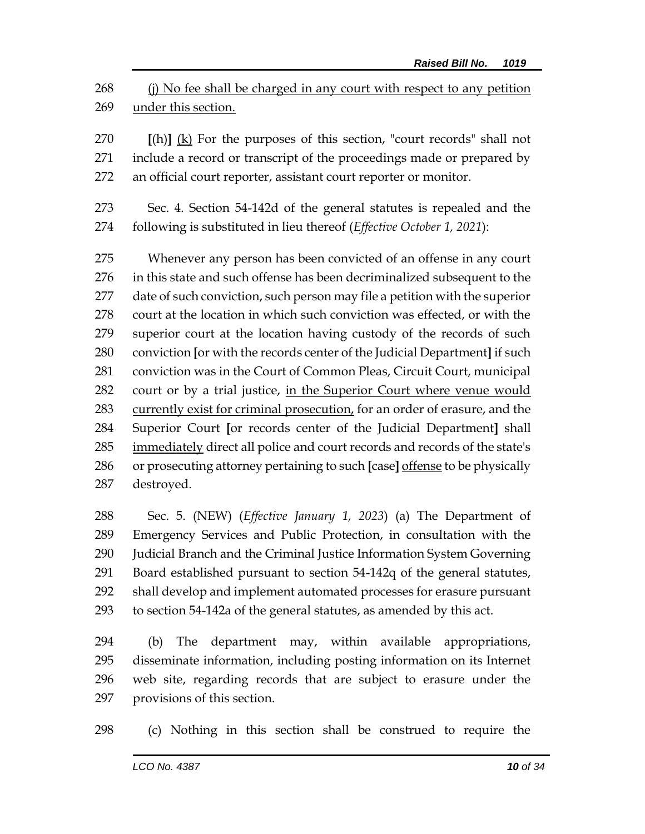268 (i) No fee shall be charged in any court with respect to any petition under this section.

 **[**(h)**]** (k) For the purposes of this section, "court records" shall not include a record or transcript of the proceedings made or prepared by an official court reporter, assistant court reporter or monitor.

 Sec. 4. Section 54-142d of the general statutes is repealed and the following is substituted in lieu thereof (*Effective October 1, 2021*):

 Whenever any person has been convicted of an offense in any court in this state and such offense has been decriminalized subsequent to the date of such conviction, such person may file a petition with the superior court at the location in which such conviction was effected, or with the superior court at the location having custody of the records of such conviction **[**or with the records center of the Judicial Department**]** if such conviction was in the Court of Common Pleas, Circuit Court, municipal 282 court or by a trial justice, in the Superior Court where venue would 283 currently exist for criminal prosecution, for an order of erasure, and the Superior Court **[**or records center of the Judicial Department**]** shall immediately direct all police and court records and records of the state's or prosecuting attorney pertaining to such **[**case**]** offense to be physically destroyed.

 Sec. 5. (NEW) (*Effective January 1, 2023*) (a) The Department of Emergency Services and Public Protection, in consultation with the Judicial Branch and the Criminal Justice Information System Governing Board established pursuant to section 54-142q of the general statutes, shall develop and implement automated processes for erasure pursuant to section 54-142a of the general statutes, as amended by this act.

 (b) The department may, within available appropriations, disseminate information, including posting information on its Internet web site, regarding records that are subject to erasure under the provisions of this section.

(c) Nothing in this section shall be construed to require the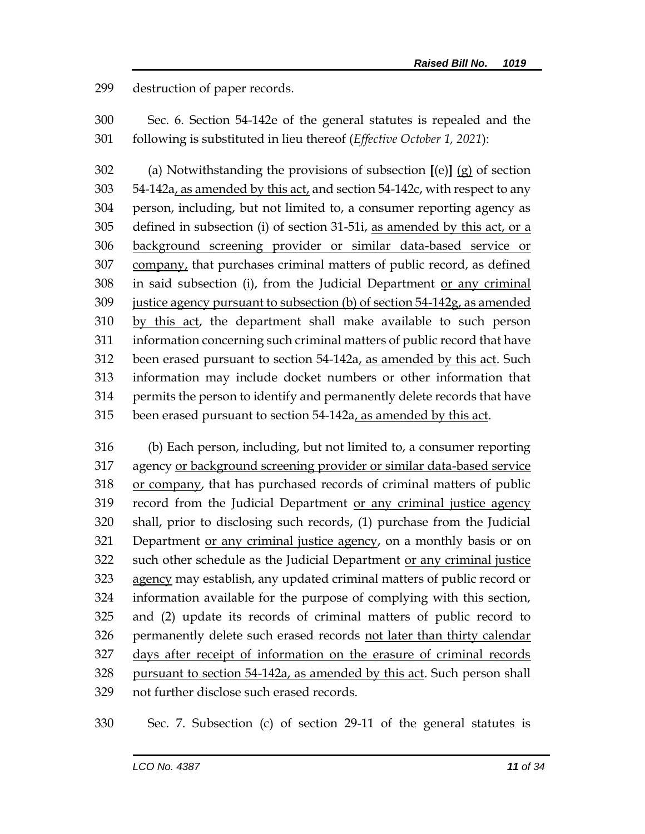destruction of paper records.

 Sec. 6. Section 54-142e of the general statutes is repealed and the following is substituted in lieu thereof (*Effective October 1, 2021*):

 (a) Notwithstanding the provisions of subsection **[**(e)**]** (g) of section 54-142a, as amended by this act, and section 54-142c, with respect to any person, including, but not limited to, a consumer reporting agency as defined in subsection (i) of section 31-51i, as amended by this act, or a background screening provider or similar data-based service or 307 company, that purchases criminal matters of public record, as defined in said subsection (i), from the Judicial Department or any criminal justice agency pursuant to subsection (b) of section 54-142g, as amended by this act, the department shall make available to such person information concerning such criminal matters of public record that have been erased pursuant to section 54-142a, as amended by this act. Such information may include docket numbers or other information that permits the person to identify and permanently delete records that have been erased pursuant to section 54-142a, as amended by this act.

 (b) Each person, including, but not limited to, a consumer reporting agency or background screening provider or similar data-based service or company, that has purchased records of criminal matters of public 319 record from the Judicial Department or any criminal justice agency shall, prior to disclosing such records, (1) purchase from the Judicial Department or any criminal justice agency, on a monthly basis or on such other schedule as the Judicial Department or any criminal justice agency may establish, any updated criminal matters of public record or information available for the purpose of complying with this section, and (2) update its records of criminal matters of public record to permanently delete such erased records not later than thirty calendar days after receipt of information on the erasure of criminal records pursuant to section 54-142a, as amended by this act. Such person shall not further disclose such erased records.

Sec. 7. Subsection (c) of section 29-11 of the general statutes is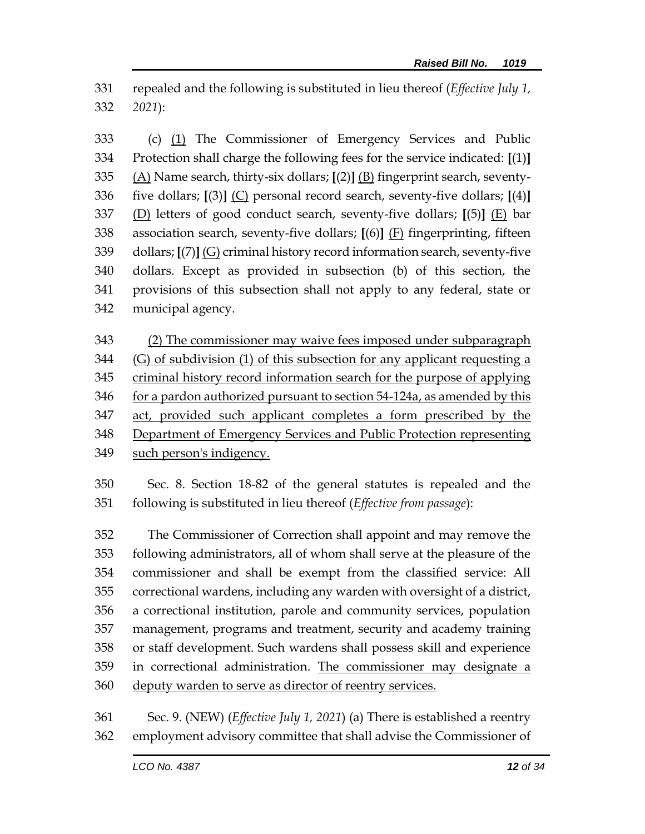repealed and the following is substituted in lieu thereof (*Effective July 1, 2021*):

 (c) (1) The Commissioner of Emergency Services and Public Protection shall charge the following fees for the service indicated: **[**(1)**]** (A) Name search, thirty-six dollars; **[**(2)**]** (B) fingerprint search, seventy- five dollars; **[**(3)**]** (C) personal record search, seventy-five dollars; **[**(4)**]** (D) letters of good conduct search, seventy-five dollars; **[**(5)**]** (E) bar association search, seventy-five dollars; **[**(6)**]** (F) fingerprinting, fifteen dollars; **[**(7)**]** (G) criminal history record information search, seventy-five dollars. Except as provided in subsection (b) of this section, the provisions of this subsection shall not apply to any federal, state or municipal agency.

 (2) The commissioner may waive fees imposed under subparagraph (G) of subdivision (1) of this subsection for any applicant requesting a criminal history record information search for the purpose of applying 346 for a pardon authorized pursuant to section 54-124a, as amended by this act, provided such applicant completes a form prescribed by the Department of Emergency Services and Public Protection representing such person's indigency.

 Sec. 8. Section 18-82 of the general statutes is repealed and the following is substituted in lieu thereof (*Effective from passage*):

 The Commissioner of Correction shall appoint and may remove the following administrators, all of whom shall serve at the pleasure of the commissioner and shall be exempt from the classified service: All correctional wardens, including any warden with oversight of a district, a correctional institution, parole and community services, population management, programs and treatment, security and academy training or staff development. Such wardens shall possess skill and experience in correctional administration. The commissioner may designate a deputy warden to serve as director of reentry services.

 Sec. 9. (NEW) (*Effective July 1, 2021*) (a) There is established a reentry employment advisory committee that shall advise the Commissioner of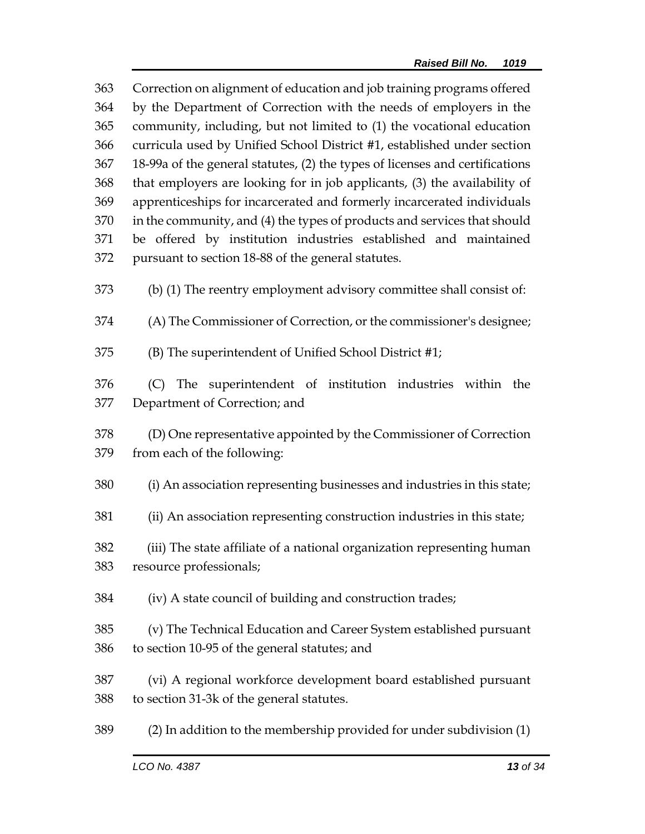| 363 | Correction on alignment of education and job training programs offered       |  |  |
|-----|------------------------------------------------------------------------------|--|--|
| 364 | by the Department of Correction with the needs of employers in the           |  |  |
| 365 | community, including, but not limited to (1) the vocational education        |  |  |
| 366 | curricula used by Unified School District #1, established under section      |  |  |
| 367 | 18-99a of the general statutes, (2) the types of licenses and certifications |  |  |
| 368 | that employers are looking for in job applicants, (3) the availability of    |  |  |
| 369 | apprenticeships for incarcerated and formerly incarcerated individuals       |  |  |
| 370 | in the community, and (4) the types of products and services that should     |  |  |
| 371 | be offered by institution industries established and maintained              |  |  |
| 372 | pursuant to section 18-88 of the general statutes.                           |  |  |
| 373 | (b) (1) The reentry employment advisory committee shall consist of:          |  |  |
| 374 | (A) The Commissioner of Correction, or the commissioner's designee;          |  |  |
| 375 | (B) The superintendent of Unified School District #1;                        |  |  |
| 376 | (C) The superintendent of institution industries within the                  |  |  |
| 377 | Department of Correction; and                                                |  |  |
| 378 | (D) One representative appointed by the Commissioner of Correction           |  |  |
| 379 | from each of the following:                                                  |  |  |
| 380 | (i) An association representing businesses and industries in this state;     |  |  |
| 381 | (ii) An association representing construction industries in this state;      |  |  |
| 382 | (iii) The state affiliate of a national organization representing human      |  |  |
| 383 | resource professionals;                                                      |  |  |
| 384 | (iv) A state council of building and construction trades;                    |  |  |
| 385 | (v) The Technical Education and Career System established pursuant           |  |  |
| 386 | to section 10-95 of the general statutes; and                                |  |  |
| 387 | (vi) A regional workforce development board established pursuant             |  |  |
| 388 | to section 31-3k of the general statutes.                                    |  |  |
| 389 | (2) In addition to the membership provided for under subdivision (1)         |  |  |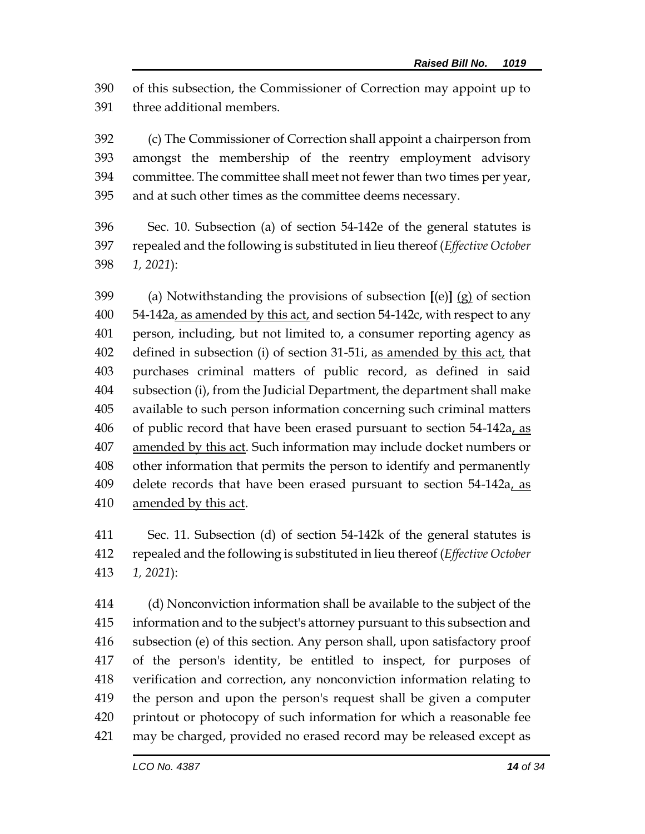of this subsection, the Commissioner of Correction may appoint up to three additional members.

 (c) The Commissioner of Correction shall appoint a chairperson from amongst the membership of the reentry employment advisory committee. The committee shall meet not fewer than two times per year, and at such other times as the committee deems necessary.

 Sec. 10. Subsection (a) of section 54-142e of the general statutes is repealed and the following is substituted in lieu thereof (*Effective October 1, 2021*):

 (a) Notwithstanding the provisions of subsection **[**(e)**]** (g) of section 54-142a, as amended by this act, and section 54-142c, with respect to any person, including, but not limited to, a consumer reporting agency as defined in subsection (i) of section 31-51i, as amended by this act, that purchases criminal matters of public record, as defined in said subsection (i), from the Judicial Department, the department shall make available to such person information concerning such criminal matters 406 of public record that have been erased pursuant to section 54-142a, as amended by this act. Such information may include docket numbers or other information that permits the person to identify and permanently 409 delete records that have been erased pursuant to section 54-142a, as 410 amended by this act.

 Sec. 11. Subsection (d) of section 54-142k of the general statutes is repealed and the following is substituted in lieu thereof (*Effective October 1, 2021*):

 (d) Nonconviction information shall be available to the subject of the information and to the subject's attorney pursuant to this subsection and subsection (e) of this section. Any person shall, upon satisfactory proof of the person's identity, be entitled to inspect, for purposes of verification and correction, any nonconviction information relating to the person and upon the person's request shall be given a computer printout or photocopy of such information for which a reasonable fee may be charged, provided no erased record may be released except as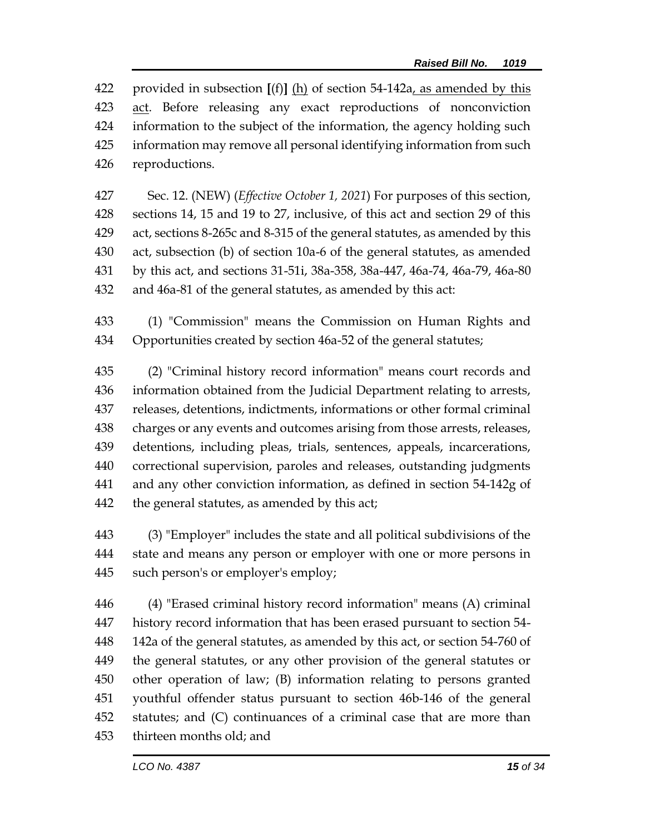provided in subsection **[**(f)**]** (h) of section 54-142a, as amended by this act. Before releasing any exact reproductions of nonconviction information to the subject of the information, the agency holding such information may remove all personal identifying information from such reproductions.

 Sec. 12. (NEW) (*Effective October 1, 2021*) For purposes of this section, sections 14, 15 and 19 to 27, inclusive, of this act and section 29 of this act, sections 8-265c and 8-315 of the general statutes, as amended by this act, subsection (b) of section 10a-6 of the general statutes, as amended by this act, and sections 31-51i, 38a-358, 38a-447, 46a-74, 46a-79, 46a-80 and 46a-81 of the general statutes, as amended by this act:

 (1) "Commission" means the Commission on Human Rights and Opportunities created by section 46a-52 of the general statutes;

 (2) "Criminal history record information" means court records and information obtained from the Judicial Department relating to arrests, releases, detentions, indictments, informations or other formal criminal charges or any events and outcomes arising from those arrests, releases, detentions, including pleas, trials, sentences, appeals, incarcerations, correctional supervision, paroles and releases, outstanding judgments and any other conviction information, as defined in [section 54-142g](https://1.next.westlaw.com/Link/Document/FullText?findType=L&pubNum=1000264&cite=CTSTS54-142G&originatingDoc=ND7547DF0547E11E6A483DFBDA551E575&refType=LQ&originationContext=document&transitionType=DocumentItem&contextData=(sc.Search)) of the general statutes, as amended by this act;

 (3) "Employer" includes the state and all political subdivisions of the state and means any person or employer with one or more persons in such person's or employer's employ;

 (4) "Erased criminal history record information" means (A) criminal history record information that has been erased pursuant to section 54- 142a of the general statutes, as amended by this act, or section 54-760 of the general statutes, or any other provision of the general statutes or other operation of law; (B) information relating to persons granted youthful offender status pursuant to section 46b-146 of the general statutes; and (C) continuances of a criminal case that are more than thirteen months old; and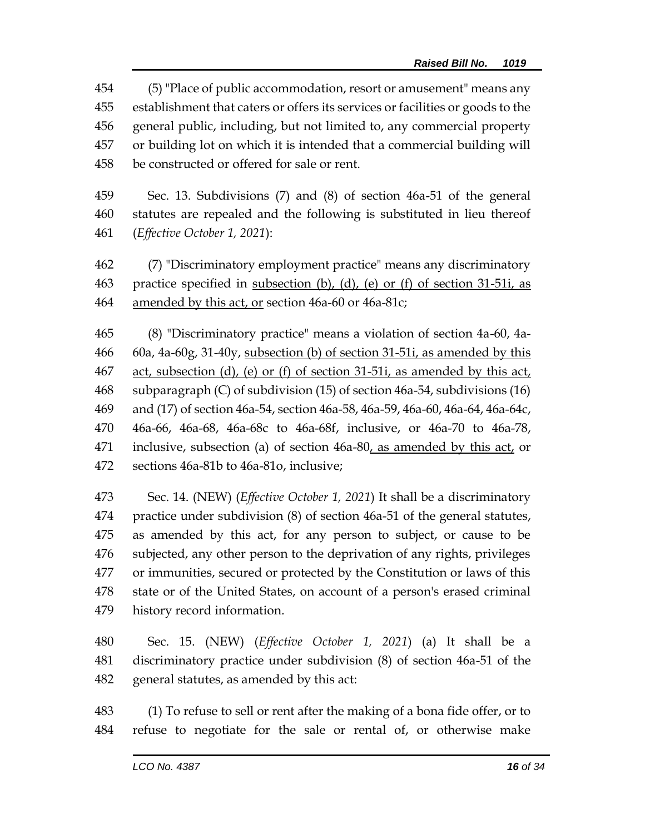(5) "Place of public accommodation, resort or amusement" means any establishment that caters or offers its services or facilities or goods to the general public, including, but not limited to, any commercial property or building lot on which it is intended that a commercial building will be constructed or offered for sale or rent.

 Sec. 13. Subdivisions (7) and (8) of section 46a-51 of the general statutes are repealed and the following is substituted in lieu thereof (*Effective October 1, 2021*):

 (7) "Discriminatory employment practice" means any discriminatory practice specified in subsection (b), (d), (e) or (f) of section 31-51i, as amended by this act, or section 46a-60 or 46a-81c;

 (8) "Discriminatory practice" means a violation of section 4a-60, 4a- 60a, 4a-60g, 31-40y, subsection (b) of section 31-51i, as amended by this act, subsection (d), (e) or (f) of section 31-51i, as amended by this act, subparagraph (C) of subdivision (15) of section 46a-54, subdivisions (16) and (17) of section 46a-54, section 46a-58, 46a-59, 46a-60, 46a-64, 46a-64c, 46a-66, 46a-68, 46a-68c to 46a-68f, inclusive, or 46a-70 to 46a-78, inclusive, subsection (a) of section 46a-80, as amended by this act, or sections 46a-81b to 46a-81o, inclusive;

 Sec. 14. (NEW) (*Effective October 1, 2021*) It shall be a discriminatory practice under subdivision (8) of section 46a-51 of the general statutes, as amended by this act, for any person to subject, or cause to be subjected, any other person to the deprivation of any rights, privileges or immunities, secured or protected by the Constitution or laws of this state or of the United States, on account of a person's erased criminal history record information.

 Sec. 15. (NEW) (*Effective October 1, 2021*) (a) It shall be a discriminatory practice under subdivision (8) of section 46a-51 of the general statutes, as amended by this act:

 (1) To refuse to sell or rent after the making of a bona fide offer, or to refuse to negotiate for the sale or rental of, or otherwise make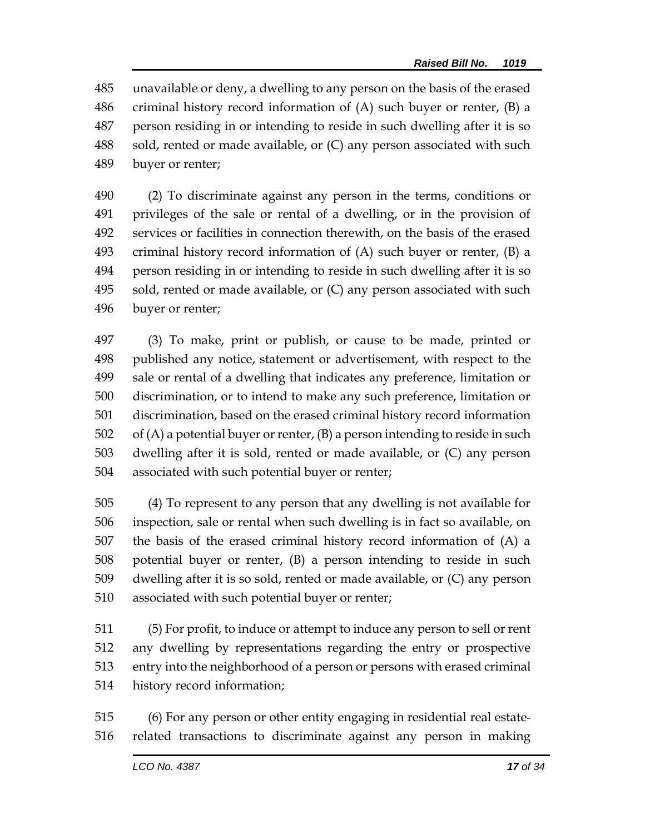unavailable or deny, a dwelling to any person on the basis of the erased criminal history record information of (A) such buyer or renter, (B) a person residing in or intending to reside in such dwelling after it is so sold, rented or made available, or (C) any person associated with such buyer or renter;

 (2) To discriminate against any person in the terms, conditions or privileges of the sale or rental of a dwelling, or in the provision of services or facilities in connection therewith, on the basis of the erased criminal history record information of (A) such buyer or renter, (B) a person residing in or intending to reside in such dwelling after it is so 495 sold, rented or made available, or (C) any person associated with such buyer or renter;

 (3) To make, print or publish, or cause to be made, printed or published any notice, statement or advertisement, with respect to the sale or rental of a dwelling that indicates any preference, limitation or discrimination, or to intend to make any such preference, limitation or discrimination, based on the erased criminal history record information of (A) a potential buyer or renter, (B) a person intending to reside in such dwelling after it is sold, rented or made available, or (C) any person associated with such potential buyer or renter;

 (4) To represent to any person that any dwelling is not available for inspection, sale or rental when such dwelling is in fact so available, on the basis of the erased criminal history record information of (A) a potential buyer or renter, (B) a person intending to reside in such dwelling after it is so sold, rented or made available, or (C) any person associated with such potential buyer or renter;

 (5) For profit, to induce or attempt to induce any person to sell or rent any dwelling by representations regarding the entry or prospective entry into the neighborhood of a person or persons with erased criminal history record information;

 (6) For any person or other entity engaging in residential real estate-related transactions to discriminate against any person in making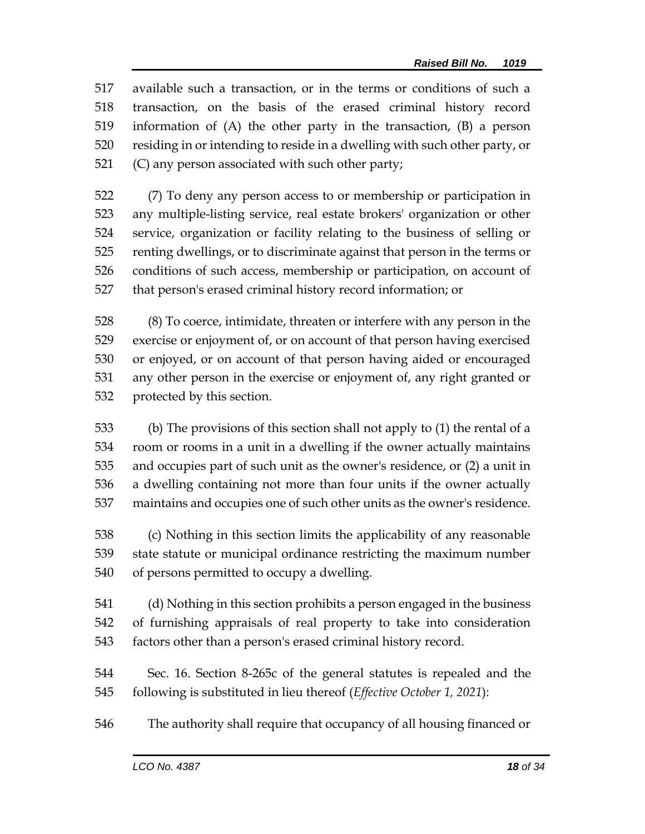available such a transaction, or in the terms or conditions of such a transaction, on the basis of the erased criminal history record information of (A) the other party in the transaction, (B) a person residing in or intending to reside in a dwelling with such other party, or (C) any person associated with such other party;

 (7) To deny any person access to or membership or participation in any multiple-listing service, real estate brokers' organization or other service, organization or facility relating to the business of selling or renting dwellings, or to discriminate against that person in the terms or conditions of such access, membership or participation, on account of that person's erased criminal history record information; or

 (8) To coerce, intimidate, threaten or interfere with any person in the exercise or enjoyment of, or on account of that person having exercised or enjoyed, or on account of that person having aided or encouraged any other person in the exercise or enjoyment of, any right granted or protected by this section.

 (b) The provisions of this section shall not apply to (1) the rental of a room or rooms in a unit in a dwelling if the owner actually maintains and occupies part of such unit as the owner's residence, or (2) a unit in a dwelling containing not more than four units if the owner actually maintains and occupies one of such other units as the owner's residence.

 (c) Nothing in this section limits the applicability of any reasonable state statute or municipal ordinance restricting the maximum number of persons permitted to occupy a dwelling.

 (d) Nothing in this section prohibits a person engaged in the business of furnishing appraisals of real property to take into consideration factors other than a person's erased criminal history record.

 Sec. 16. Section 8-265c of the general statutes is repealed and the following is substituted in lieu thereof (*Effective October 1, 2021*):

The authority shall require that occupancy of all housing financed or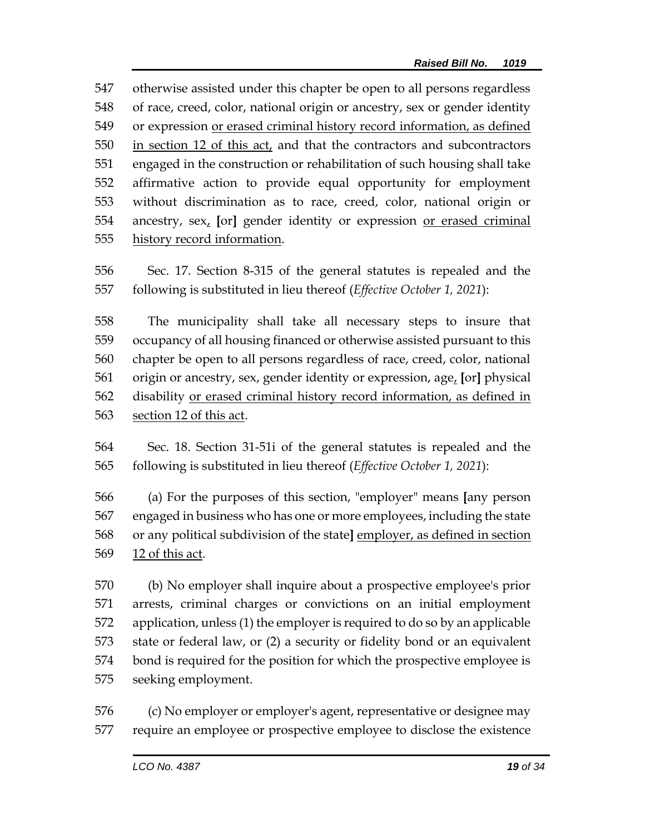otherwise assisted under this chapter be open to all persons regardless of race, creed, color, national origin or ancestry, sex or gender identity or expression or erased criminal history record information, as defined in section 12 of this act, and that the contractors and subcontractors engaged in the construction or rehabilitation of such housing shall take affirmative action to provide equal opportunity for employment without discrimination as to race, creed, color, national origin or ancestry, sex, **[**or**]** gender identity or expression or erased criminal history record information.

 Sec. 17. Section 8-315 of the general statutes is repealed and the following is substituted in lieu thereof (*Effective October 1, 2021*):

 The municipality shall take all necessary steps to insure that occupancy of all housing financed or otherwise assisted pursuant to this chapter be open to all persons regardless of race, creed, color, national origin or ancestry, sex, gender identity or expression, age, **[**or**]** physical disability or erased criminal history record information, as defined in section 12 of this act.

- Sec. 18. Section 31-51i of the general statutes is repealed and the following is substituted in lieu thereof (*Effective October 1, 2021*):
- (a) For the purposes of this section, "employer" means **[**any person engaged in business who has one or more employees, including the state or any political subdivision of the state**]** employer, as defined in section 12 of this act.
- (b) No employer shall inquire about a prospective employee's prior arrests, criminal charges or convictions on an initial employment application, unless (1) the employer is required to do so by an applicable state or federal law, or (2) a security or fidelity bond or an equivalent bond is required for the position for which the prospective employee is seeking employment.

 (c) No employer or employer's agent, representative or designee may require an employee or prospective employee to disclose the existence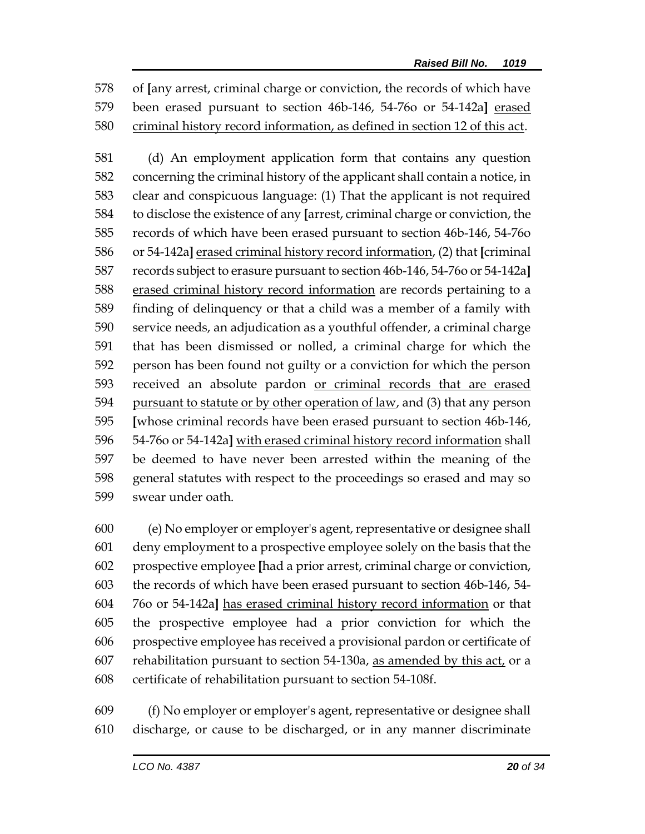of **[**any arrest, criminal charge or conviction, the records of which have been erased pursuant to section 46b-146, 54-76o or 54-142a**]** erased criminal history record information, as defined in section 12 of this act.

 (d) An employment application form that contains any question concerning the criminal history of the applicant shall contain a notice, in clear and conspicuous language: (1) That the applicant is not required to disclose the existence of any **[**arrest, criminal charge or conviction, the records of which have been erased pursuant to section 46b-146, 54-76o or 54-142a**]** erased criminal history record information, (2) that **[**criminal records subject to erasure pursuant to section 46b-146, 54-76o or 54-142a**]** erased criminal history record information are records pertaining to a finding of delinquency or that a child was a member of a family with service needs, an adjudication as a youthful offender, a criminal charge that has been dismissed or nolled, a criminal charge for which the person has been found not guilty or a conviction for which the person received an absolute pardon or criminal records that are erased pursuant to statute or by other operation of law, and (3) that any person **[**whose criminal records have been erased pursuant to section 46b-146, 54-76o or 54-142a**]** with erased criminal history record information shall be deemed to have never been arrested within the meaning of the general statutes with respect to the proceedings so erased and may so swear under oath.

 (e) No employer or employer's agent, representative or designee shall deny employment to a prospective employee solely on the basis that the prospective employee **[**had a prior arrest, criminal charge or conviction, the records of which have been erased pursuant to section 46b-146, 54- 76o or 54-142a**]** has erased criminal history record information or that the prospective employee had a prior conviction for which the prospective employee has received a provisional pardon or certificate of 607 rehabilitation pursuant to section  $54-130a$ , as amended by this act, or a certificate of rehabilitation pursuant to section 54-108f.

 (f) No employer or employer's agent, representative or designee shall discharge, or cause to be discharged, or in any manner discriminate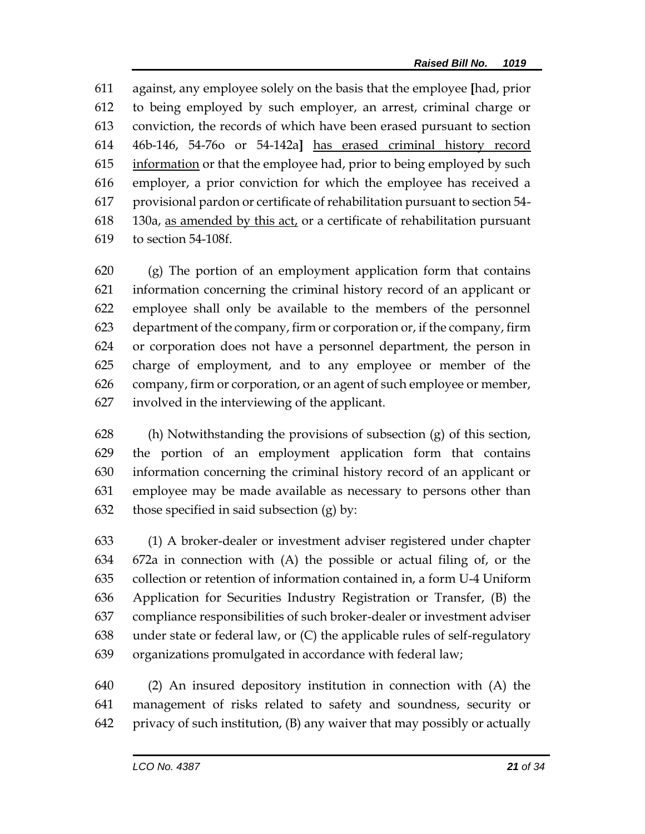against, any employee solely on the basis that the employee **[**had, prior to being employed by such employer, an arrest, criminal charge or conviction, the records of which have been erased pursuant to section 46b-146, 54-76o or 54-142a**]** has erased criminal history record information or that the employee had, prior to being employed by such employer, a prior conviction for which the employee has received a provisional pardon or certificate of rehabilitation pursuant to section 54- 130a, as amended by this act, or a certificate of rehabilitation pursuant to section 54-108f.

 (g) The portion of an employment application form that contains information concerning the criminal history record of an applicant or employee shall only be available to the members of the personnel department of the company, firm or corporation or, if the company, firm or corporation does not have a personnel department, the person in charge of employment, and to any employee or member of the company, firm or corporation, or an agent of such employee or member, involved in the interviewing of the applicant.

 (h) Notwithstanding the provisions of subsection (g) of this section, the portion of an employment application form that contains information concerning the criminal history record of an applicant or employee may be made available as necessary to persons other than 632 those specified in said subsection  $(g)$  by:

 (1) A broker-dealer or investment adviser registered under chapter 672a in connection with (A) the possible or actual filing of, or the collection or retention of information contained in, a form U-4 Uniform Application for Securities Industry Registration or Transfer, (B) the compliance responsibilities of such broker-dealer or investment adviser under state or federal law, or (C) the applicable rules of self-regulatory organizations promulgated in accordance with federal law;

 (2) An insured depository institution in connection with (A) the management of risks related to safety and soundness, security or privacy of such institution, (B) any waiver that may possibly or actually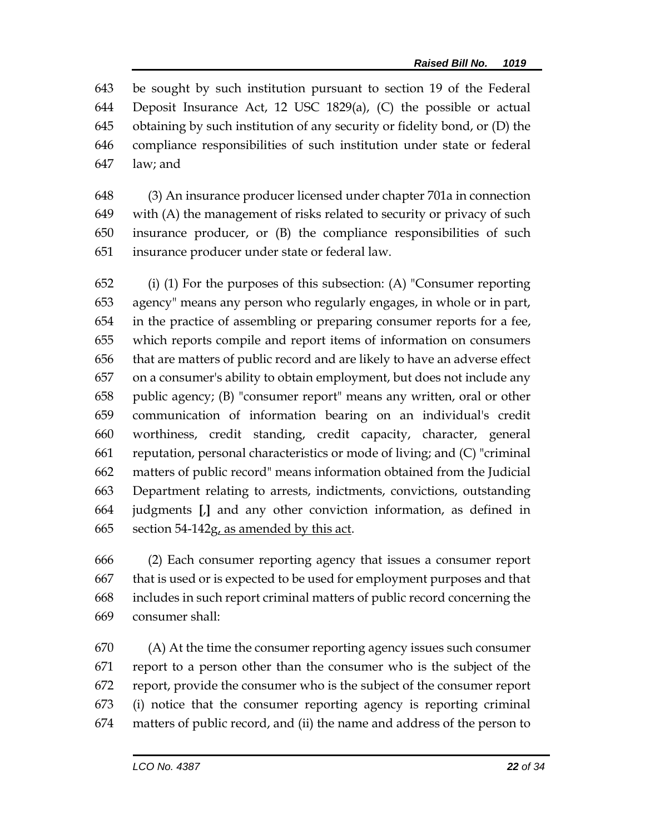be sought by such institution pursuant to section 19 of the Federal Deposit Insurance Act, 12 USC 1829(a), (C) the possible or actual obtaining by such institution of any security or fidelity bond, or (D) the compliance responsibilities of such institution under state or federal law; and

 (3) An insurance producer licensed under chapter 701a in connection with (A) the management of risks related to security or privacy of such insurance producer, or (B) the compliance responsibilities of such insurance producer under state or federal law.

 (i) (1) For the purposes of this subsection: (A) "Consumer reporting agency" means any person who regularly engages, in whole or in part, in the practice of assembling or preparing consumer reports for a fee, which reports compile and report items of information on consumers that are matters of public record and are likely to have an adverse effect on a consumer's ability to obtain employment, but does not include any public agency; (B) "consumer report" means any written, oral or other communication of information bearing on an individual's credit worthiness, credit standing, credit capacity, character, general reputation, personal characteristics or mode of living; and (C) "criminal matters of public record" means information obtained from the Judicial Department relating to arrests, indictments, convictions, outstanding judgments **[**,**]** and any other conviction information, as defined in 665 section 54-142g, as amended by this act.

 (2) Each consumer reporting agency that issues a consumer report that is used or is expected to be used for employment purposes and that includes in such report criminal matters of public record concerning the consumer shall:

 (A) At the time the consumer reporting agency issues such consumer report to a person other than the consumer who is the subject of the report, provide the consumer who is the subject of the consumer report (i) notice that the consumer reporting agency is reporting criminal matters of public record, and (ii) the name and address of the person to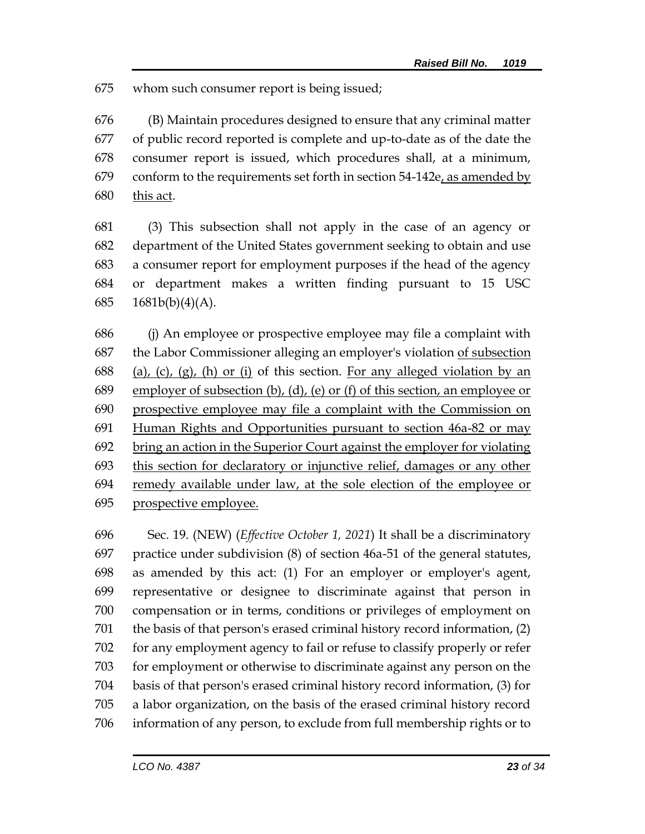whom such consumer report is being issued;

 (B) Maintain procedures designed to ensure that any criminal matter of public record reported is complete and up-to-date as of the date the consumer report is issued, which procedures shall, at a minimum, conform to the requirements set forth in section 54-142e, as amended by this act.

 (3) This subsection shall not apply in the case of an agency or department of the United States government seeking to obtain and use a consumer report for employment purposes if the head of the agency or department makes a written finding pursuant to 15 USC 1681b(b)(4)(A).

 (j) An employee or prospective employee may file a complaint with the Labor Commissioner alleging an employer's violation of subsection 688 (a), (c), (g), (h) or (i) of this section. For any alleged violation by an employer of subsection (b), (d), (e) or (f) of this section, an employee or prospective employee may file a complaint with the Commission on Human Rights and Opportunities pursuant to section 46a-82 or may bring an action in the Superior Court against the employer for violating this section for declaratory or injunctive relief, damages or any other remedy available under law, at the sole election of the employee or prospective employee.

 Sec. 19. (NEW) (*Effective October 1, 2021*) It shall be a discriminatory practice under subdivision (8) of section 46a-51 of the general statutes, as amended by this act: (1) For an employer or employer's agent, representative or designee to discriminate against that person in compensation or in terms, conditions or privileges of employment on the basis of that person's erased criminal history record information, (2) for any employment agency to fail or refuse to classify properly or refer for employment or otherwise to discriminate against any person on the basis of that person's erased criminal history record information, (3) for a labor organization, on the basis of the erased criminal history record information of any person, to exclude from full membership rights or to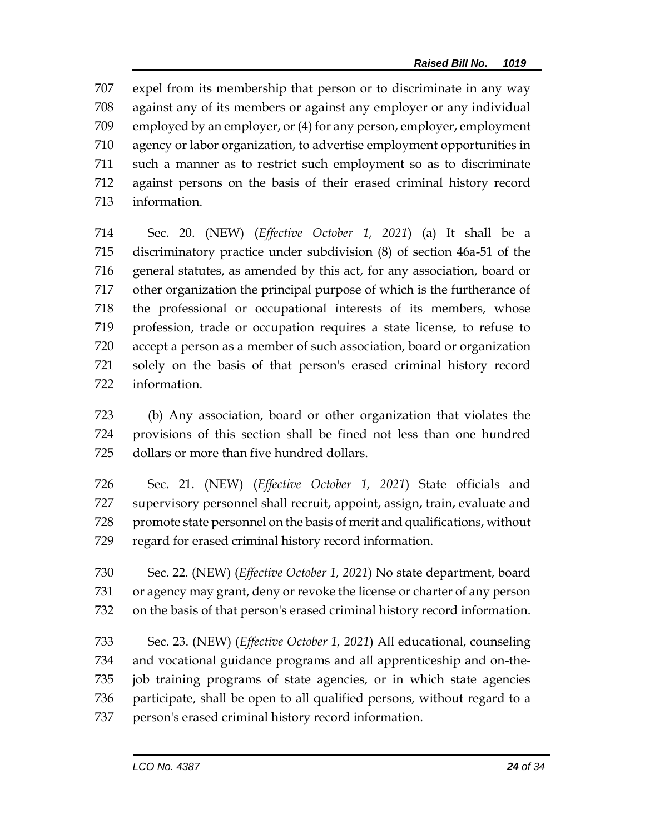expel from its membership that person or to discriminate in any way against any of its members or against any employer or any individual employed by an employer, or (4) for any person, employer, employment agency or labor organization, to advertise employment opportunities in such a manner as to restrict such employment so as to discriminate against persons on the basis of their erased criminal history record information.

 Sec. 20. (NEW) (*Effective October 1, 2021*) (a) It shall be a discriminatory practice under subdivision (8) of section 46a-51 of the general statutes, as amended by this act, for any association, board or other organization the principal purpose of which is the furtherance of the professional or occupational interests of its members, whose profession, trade or occupation requires a state license, to refuse to accept a person as a member of such association, board or organization solely on the basis of that person's erased criminal history record information.

 (b) Any association, board or other organization that violates the provisions of this section shall be fined not less than one hundred dollars or more than five hundred dollars.

 Sec. 21. (NEW) (*Effective October 1, 2021*) State officials and supervisory personnel shall recruit, appoint, assign, train, evaluate and 728 promote state personnel on the basis of merit and qualifications, without regard for erased criminal history record information.

 Sec. 22. (NEW) (*Effective October 1, 2021*) No state department, board or agency may grant, deny or revoke the license or charter of any person on the basis of that person's erased criminal history record information.

 Sec. 23. (NEW) (*Effective October 1, 2021*) All educational, counseling and vocational guidance programs and all apprenticeship and on-the- job training programs of state agencies, or in which state agencies participate, shall be open to all qualified persons, without regard to a person's erased criminal history record information.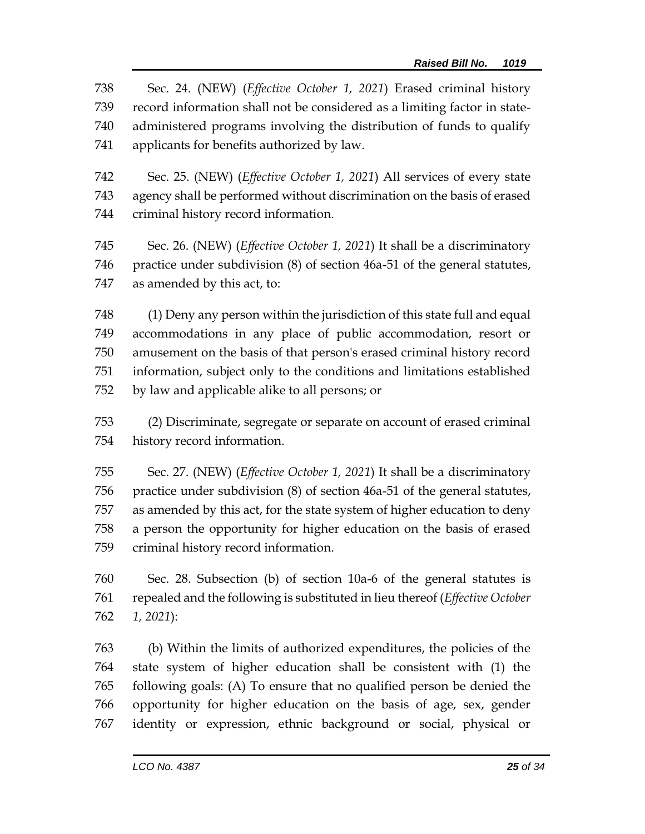Sec. 24. (NEW) (*Effective October 1, 2021*) Erased criminal history record information shall not be considered as a limiting factor in state- administered programs involving the distribution of funds to qualify applicants for benefits authorized by law.

 Sec. 25. (NEW) (*Effective October 1, 2021*) All services of every state agency shall be performed without discrimination on the basis of erased criminal history record information.

 Sec. 26. (NEW) (*Effective October 1, 2021*) It shall be a discriminatory practice under subdivision (8) of section 46a-51 of the general statutes, as amended by this act, to:

 (1) Deny any person within the jurisdiction of this state full and equal accommodations in any place of public accommodation, resort or amusement on the basis of that person's erased criminal history record information, subject only to the conditions and limitations established by law and applicable alike to all persons; or

 (2) Discriminate, segregate or separate on account of erased criminal history record information.

 Sec. 27. (NEW) (*Effective October 1, 2021*) It shall be a discriminatory practice under subdivision (8) of section 46a-51 of the general statutes, as amended by this act, for the state system of higher education to deny a person the opportunity for higher education on the basis of erased criminal history record information.

 Sec. 28. Subsection (b) of section 10a-6 of the general statutes is repealed and the following is substituted in lieu thereof (*Effective October 1, 2021*):

 (b) Within the limits of authorized expenditures, the policies of the state system of higher education shall be consistent with (1) the following goals: (A) To ensure that no qualified person be denied the opportunity for higher education on the basis of age, sex, gender identity or expression, ethnic background or social, physical or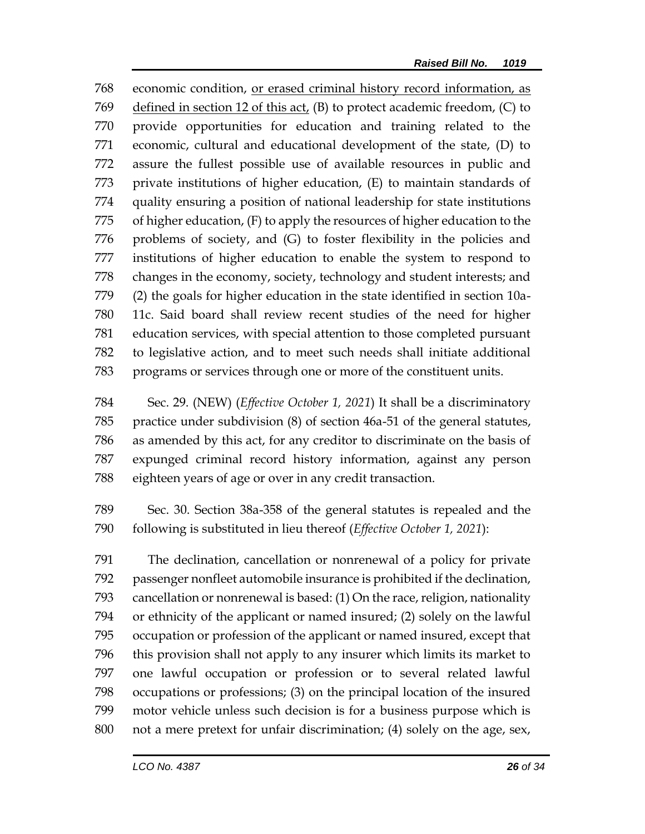economic condition, or erased criminal history record information, as defined in section 12 of this act, (B) to protect academic freedom, (C) to provide opportunities for education and training related to the economic, cultural and educational development of the state, (D) to assure the fullest possible use of available resources in public and private institutions of higher education, (E) to maintain standards of quality ensuring a position of national leadership for state institutions of higher education, (F) to apply the resources of higher education to the problems of society, and (G) to foster flexibility in the policies and institutions of higher education to enable the system to respond to changes in the economy, society, technology and student interests; and (2) the goals for higher education in the state identified in section 10a- 11c. Said board shall review recent studies of the need for higher education services, with special attention to those completed pursuant to legislative action, and to meet such needs shall initiate additional programs or services through one or more of the constituent units.

 Sec. 29. (NEW) (*Effective October 1, 2021*) It shall be a discriminatory practice under subdivision (8) of section 46a-51 of the general statutes, as amended by this act, for any creditor to discriminate on the basis of expunged criminal record history information, against any person eighteen years of age or over in any credit transaction.

 Sec. 30. Section 38a-358 of the general statutes is repealed and the following is substituted in lieu thereof (*Effective October 1, 2021*):

 The declination, cancellation or nonrenewal of a policy for private passenger nonfleet automobile insurance is prohibited if the declination, cancellation or nonrenewal is based: (1) On the race, religion, nationality or ethnicity of the applicant or named insured; (2) solely on the lawful occupation or profession of the applicant or named insured, except that this provision shall not apply to any insurer which limits its market to one lawful occupation or profession or to several related lawful occupations or professions; (3) on the principal location of the insured motor vehicle unless such decision is for a business purpose which is not a mere pretext for unfair discrimination; (4) solely on the age, sex,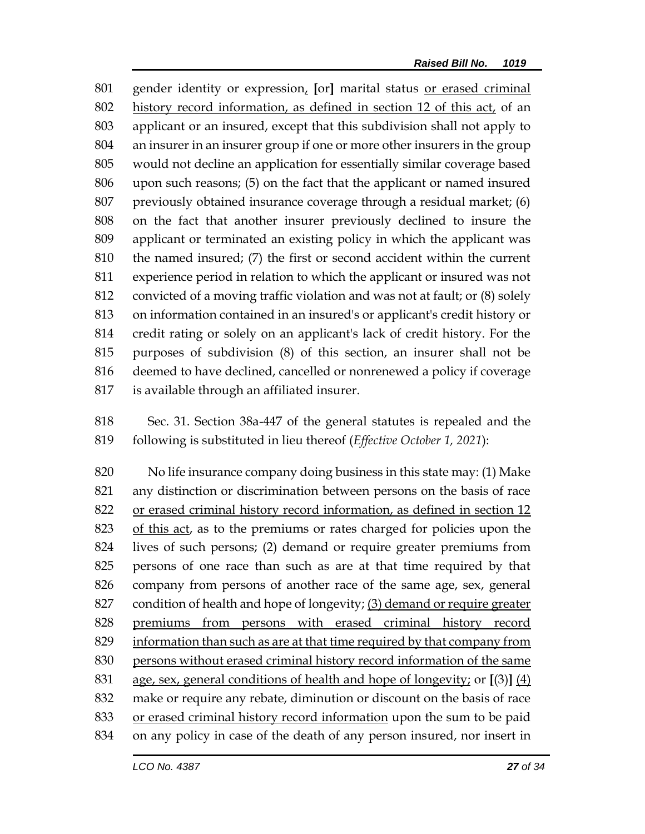gender identity or expression, **[**or**]** marital status or erased criminal history record information, as defined in section 12 of this act, of an applicant or an insured, except that this subdivision shall not apply to an insurer in an insurer group if one or more other insurers in the group would not decline an application for essentially similar coverage based upon such reasons; (5) on the fact that the applicant or named insured previously obtained insurance coverage through a residual market; (6) on the fact that another insurer previously declined to insure the applicant or terminated an existing policy in which the applicant was the named insured; (7) the first or second accident within the current experience period in relation to which the applicant or insured was not convicted of a moving traffic violation and was not at fault; or (8) solely on information contained in an insured's or applicant's credit history or credit rating or solely on an applicant's lack of credit history. For the purposes of subdivision (8) of this section, an insurer shall not be deemed to have declined, cancelled or nonrenewed a policy if coverage is available through an affiliated insurer.

 Sec. 31. Section 38a-447 of the general statutes is repealed and the following is substituted in lieu thereof (*Effective October 1, 2021*):

 No life insurance company doing business in this state may: (1) Make any distinction or discrimination between persons on the basis of race or erased criminal history record information, as defined in section 12 of this act, as to the premiums or rates charged for policies upon the lives of such persons; (2) demand or require greater premiums from persons of one race than such as are at that time required by that company from persons of another race of the same age, sex, general condition of health and hope of longevity; (3) demand or require greater premiums from persons with erased criminal history record 829 information than such as are at that time required by that company from persons without erased criminal history record information of the same age, sex, general conditions of health and hope of longevity; or **[**(3)**]** (4) make or require any rebate, diminution or discount on the basis of race or erased criminal history record information upon the sum to be paid on any policy in case of the death of any person insured, nor insert in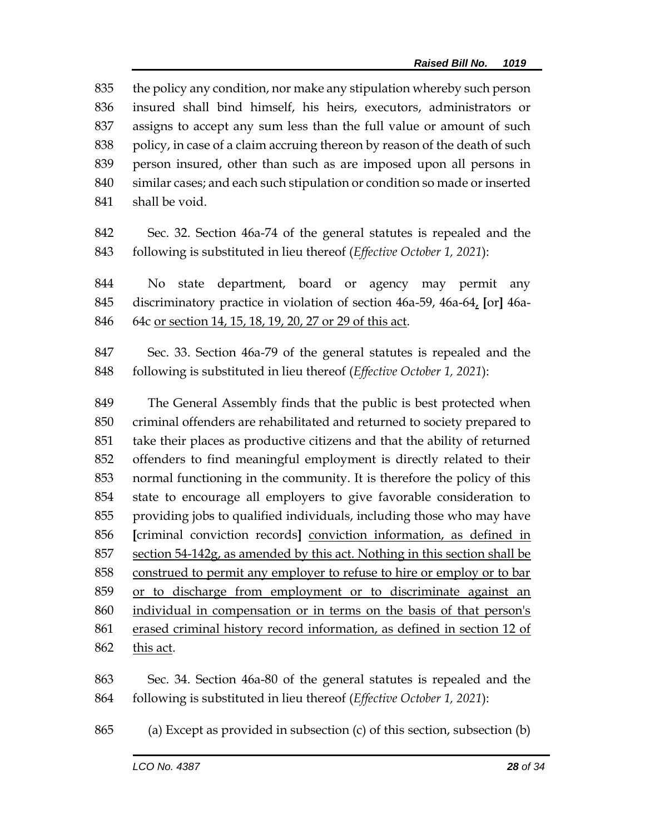the policy any condition, nor make any stipulation whereby such person insured shall bind himself, his heirs, executors, administrators or assigns to accept any sum less than the full value or amount of such 838 policy, in case of a claim accruing thereon by reason of the death of such person insured, other than such as are imposed upon all persons in similar cases; and each such stipulation or condition so made or inserted shall be void.

 Sec. 32. Section 46a-74 of the general statutes is repealed and the following is substituted in lieu thereof (*Effective October 1, 2021*):

 No state department, board or agency may permit any discriminatory practice in violation of section 46a-59, 46a-64, **[**or**]** 46a-64c or section 14, 15, 18, 19, 20, 27 or 29 of this act.

 Sec. 33. Section 46a-79 of the general statutes is repealed and the following is substituted in lieu thereof (*Effective October 1, 2021*):

 The General Assembly finds that the public is best protected when criminal offenders are rehabilitated and returned to society prepared to take their places as productive citizens and that the ability of returned offenders to find meaningful employment is directly related to their normal functioning in the community. It is therefore the policy of this state to encourage all employers to give favorable consideration to providing jobs to qualified individuals, including those who may have **[**criminal conviction records**]** conviction information, as defined in section 54-142g, as amended by this act. Nothing in this section shall be construed to permit any employer to refuse to hire or employ or to bar or to discharge from employment or to discriminate against an individual in compensation or in terms on the basis of that person's erased criminal history record information, as defined in section 12 of this act.

 Sec. 34. Section 46a-80 of the general statutes is repealed and the following is substituted in lieu thereof (*Effective October 1, 2021*):

(a) Except as provided in subsection (c) of this section, subsection (b)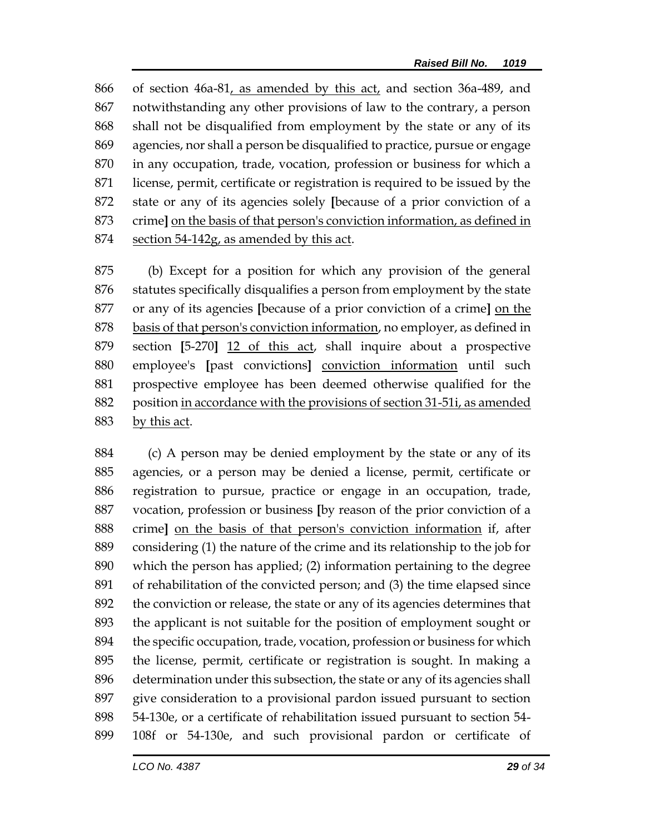of section 46a-81, as amended by this act, and section 36a-489, and notwithstanding any other provisions of law to the contrary, a person shall not be disqualified from employment by the state or any of its agencies, nor shall a person be disqualified to practice, pursue or engage in any occupation, trade, vocation, profession or business for which a license, permit, certificate or registration is required to be issued by the state or any of its agencies solely **[**because of a prior conviction of a crime**]** on the basis of that person's conviction information, as defined in section 54-142g, as amended by this act.

 (b) Except for a position for which any provision of the general statutes specifically disqualifies a person from employment by the state or any of its agencies **[**because of a prior conviction of a crime**]** on the basis of that person's conviction information, no employer, as defined in section **[**5-270**]** 12 of this act, shall inquire about a prospective employee's **[**past convictions**]** conviction information until such prospective employee has been deemed otherwise qualified for the position in accordance with the provisions of section 31-51i, as amended by this act.

 (c) A person may be denied employment by the state or any of its agencies, or a person may be denied a license, permit, certificate or registration to pursue, practice or engage in an occupation, trade, vocation, profession or business **[**by reason of the prior conviction of a crime**]** on the basis of that person's conviction information if, after considering (1) the nature of the crime and its relationship to the job for which the person has applied; (2) information pertaining to the degree of rehabilitation of the convicted person; and (3) the time elapsed since the conviction or release, the state or any of its agencies determines that the applicant is not suitable for the position of employment sought or the specific occupation, trade, vocation, profession or business for which the license, permit, certificate or registration is sought. In making a determination under this subsection, the state or any of its agencies shall give consideration to a provisional pardon issued pursuant to section 54-130e, or a certificate of rehabilitation issued pursuant to section 54- 108f or 54-130e, and such provisional pardon or certificate of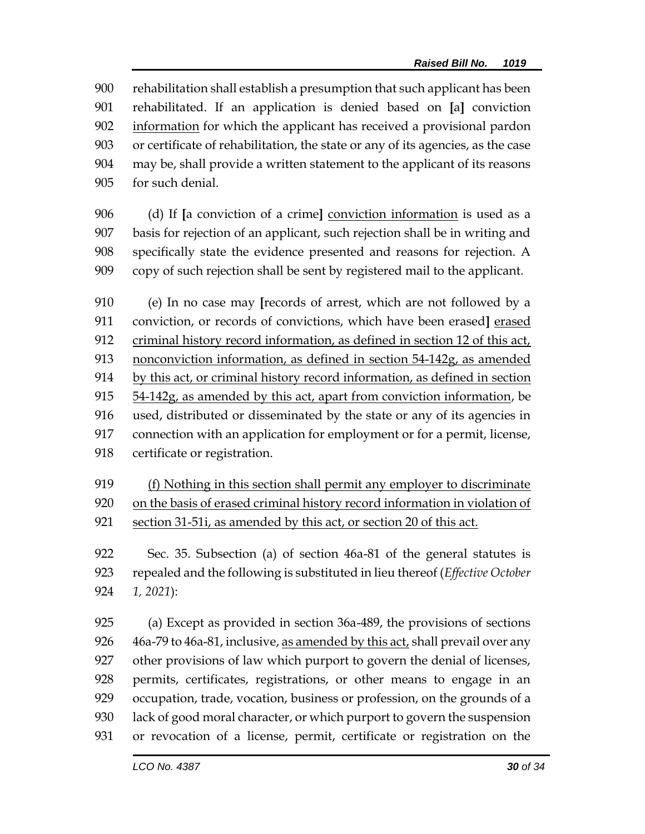rehabilitation shall establish a presumption that such applicant has been rehabilitated. If an application is denied based on **[**a**]** conviction information for which the applicant has received a provisional pardon or certificate of rehabilitation, the state or any of its agencies, as the case may be, shall provide a written statement to the applicant of its reasons for such denial.

 (d) If **[**a conviction of a crime**]** conviction information is used as a basis for rejection of an applicant, such rejection shall be in writing and specifically state the evidence presented and reasons for rejection. A copy of such rejection shall be sent by registered mail to the applicant.

 (e) In no case may **[**records of arrest, which are not followed by a conviction, or records of convictions, which have been erased**]** erased criminal history record information, as defined in section 12 of this act, nonconviction information, as defined in section 54-142g, as amended by this act, or criminal history record information, as defined in section 54-142g, as amended by this act, apart from conviction information, be used, distributed or disseminated by the state or any of its agencies in connection with an application for employment or for a permit, license, certificate or registration.

 (f) Nothing in this section shall permit any employer to discriminate 920 on the basis of erased criminal history record information in violation of section 31-51i, as amended by this act, or section 20 of this act.

 Sec. 35. Subsection (a) of section 46a-81 of the general statutes is repealed and the following is substituted in lieu thereof (*Effective October 1, 2021*):

 (a) Except as provided in section 36a-489, the provisions of sections 926 46a-79 to 46a-81, inclusive, as amended by this act, shall prevail over any other provisions of law which purport to govern the denial of licenses, permits, certificates, registrations, or other means to engage in an occupation, trade, vocation, business or profession, on the grounds of a lack of good moral character, or which purport to govern the suspension or revocation of a license, permit, certificate or registration on the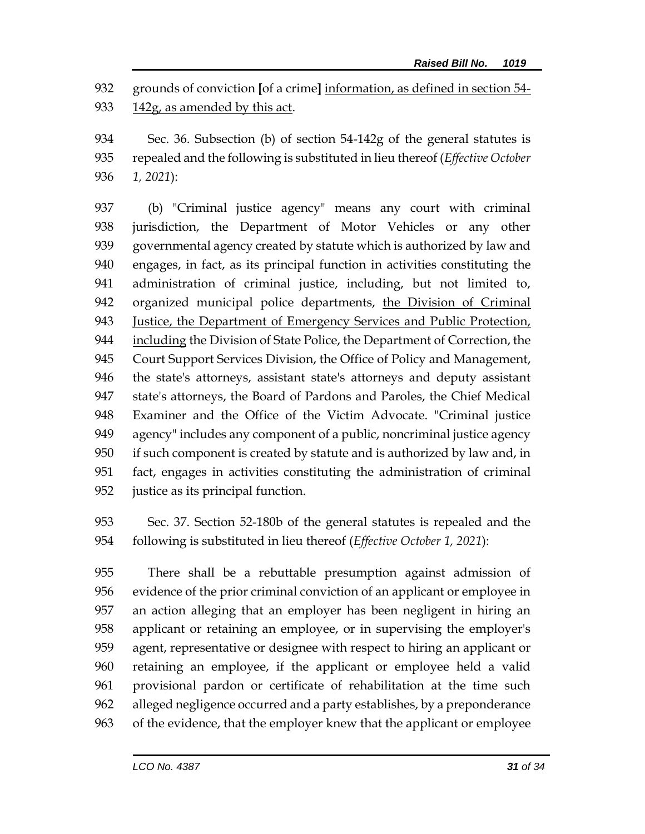grounds of conviction **[**of a crime**]** information, as defined in section 54- 142g, as amended by this act.

 Sec. 36. Subsection (b) of section 54-142g of the general statutes is repealed and the following is substituted in lieu thereof (*Effective October 1, 2021*):

 (b) "Criminal justice agency" means any court with criminal jurisdiction, the Department of Motor Vehicles or any other governmental agency created by statute which is authorized by law and engages, in fact, as its principal function in activities constituting the administration of criminal justice, including, but not limited to, organized municipal police departments, the Division of Criminal Justice, the Department of Emergency Services and Public Protection, including the Division of State Police, the Department of Correction, the Court Support Services Division, the Office of Policy and Management, the state's attorneys, assistant state's attorneys and deputy assistant state's attorneys, the Board of Pardons and Paroles, the Chief Medical Examiner and the Office of the Victim Advocate. "Criminal justice agency" includes any component of a public, noncriminal justice agency if such component is created by statute and is authorized by law and, in fact, engages in activities constituting the administration of criminal justice as its principal function.

 Sec. 37. Section 52-180b of the general statutes is repealed and the following is substituted in lieu thereof (*Effective October 1, 2021*):

 There shall be a rebuttable presumption against admission of evidence of the prior criminal conviction of an applicant or employee in an action alleging that an employer has been negligent in hiring an applicant or retaining an employee, or in supervising the employer's agent, representative or designee with respect to hiring an applicant or retaining an employee, if the applicant or employee held a valid provisional pardon or certificate of rehabilitation at the time such alleged negligence occurred and a party establishes, by a preponderance of the evidence, that the employer knew that the applicant or employee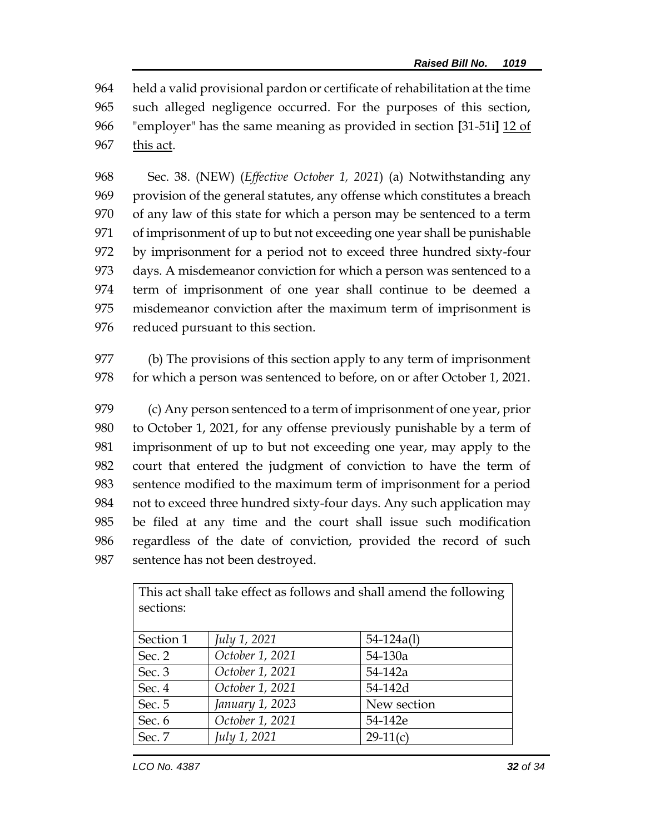held a valid provisional pardon or certificate of rehabilitation at the time such alleged negligence occurred. For the purposes of this section, "employer" has the same meaning as provided in section **[**31-51i**]** 12 of this act.

 Sec. 38. (NEW) (*Effective October 1, 2021*) (a) Notwithstanding any provision of the general statutes, any offense which constitutes a breach of any law of this state for which a person may be sentenced to a term of imprisonment of up to but not exceeding one year shall be punishable by imprisonment for a period not to exceed three hundred sixty-four days. A misdemeanor conviction for which a person was sentenced to a term of imprisonment of one year shall continue to be deemed a misdemeanor conviction after the maximum term of imprisonment is reduced pursuant to this section.

 (b) The provisions of this section apply to any term of imprisonment 978 for which a person was sentenced to before, on or after October 1, 2021.

 (c) Any person sentenced to a term of imprisonment of one year, prior to October 1, 2021, for any offense previously punishable by a term of imprisonment of up to but not exceeding one year, may apply to the court that entered the judgment of conviction to have the term of sentence modified to the maximum term of imprisonment for a period not to exceed three hundred sixty-four days. Any such application may be filed at any time and the court shall issue such modification regardless of the date of conviction, provided the record of such sentence has not been destroyed.

| sections: |                 |                |  |  |  |
|-----------|-----------------|----------------|--|--|--|
|           |                 |                |  |  |  |
| Section 1 | July 1, 2021    | $54 - 124a(1)$ |  |  |  |
| Sec. 2    | October 1, 2021 | 54-130a        |  |  |  |
| Sec. 3    | October 1, 2021 | 54-142a        |  |  |  |
| Sec. 4    | October 1, 2021 | 54-142d        |  |  |  |
| Sec. 5    | January 1, 2023 | New section    |  |  |  |
| Sec. 6    | October 1, 2021 | 54-142e        |  |  |  |
| Sec. 7    | July 1, 2021    | $29-11(c)$     |  |  |  |

This act shall take effect as follows and shall amend the following sections: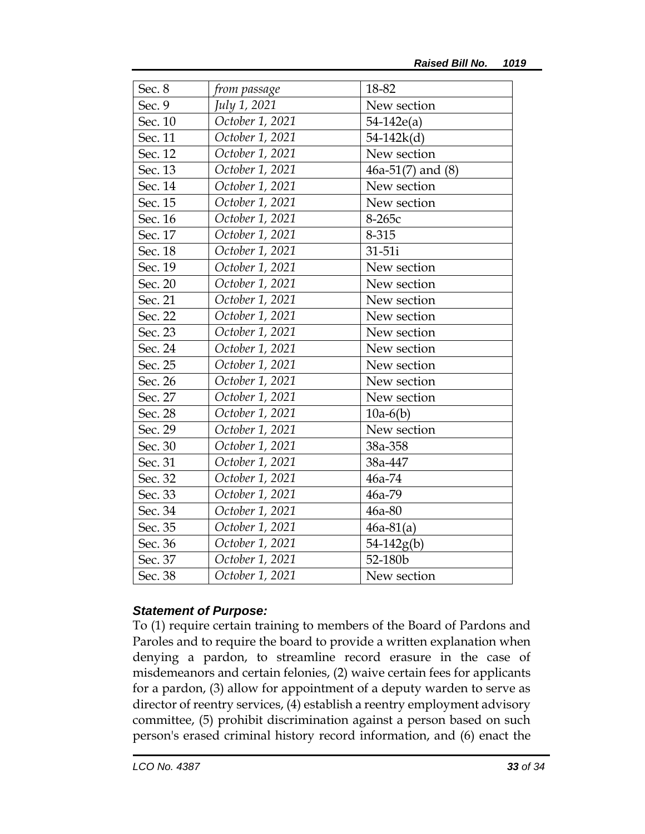| Sec. 8  | from passage    | 18-82                 |
|---------|-----------------|-----------------------|
| Sec. 9  | July 1, 2021    | New section           |
| Sec. 10 | October 1, 2021 | $54-142e(a)$          |
| Sec. 11 | October 1, 2021 | $54 - 142k(d)$        |
| Sec. 12 | October 1, 2021 | New section           |
| Sec. 13 | October 1, 2021 | $46a-51(7)$ and $(8)$ |
| Sec. 14 | October 1, 2021 | New section           |
| Sec. 15 | October 1, 2021 | New section           |
| Sec. 16 | October 1, 2021 | 8-265с                |
| Sec. 17 | October 1, 2021 | 8-315                 |
| Sec. 18 | October 1, 2021 | 31-51i                |
| Sec. 19 | October 1, 2021 | New section           |
| Sec. 20 | October 1, 2021 | New section           |
| Sec. 21 | October 1, 2021 | New section           |
| Sec. 22 | October 1, 2021 | New section           |
| Sec. 23 | October 1, 2021 | New section           |
| Sec. 24 | October 1, 2021 | New section           |
| Sec. 25 | October 1, 2021 | New section           |
| Sec. 26 | October 1, 2021 | New section           |
| Sec. 27 | October 1, 2021 | New section           |
| Sec. 28 | October 1, 2021 | $10a-6(b)$            |
| Sec. 29 | October 1, 2021 | New section           |
| Sec. 30 | October 1, 2021 | 38a-358               |
| Sec. 31 | October 1, 2021 | 38a-447               |
| Sec. 32 | October 1, 2021 | 46a-74                |
| Sec. 33 | October 1, 2021 | 46a-79                |
| Sec. 34 | October 1, 2021 | 46a-80                |
| Sec. 35 | October 1, 2021 | $46a-81(a)$           |
| Sec. 36 | October 1, 2021 | $54 - 142g(b)$        |
| Sec. 37 | October 1, 2021 | 52-180b               |
| Sec. 38 | October 1, 2021 | New section           |

## *Statement of Purpose:*

To (1) require certain training to members of the Board of Pardons and Paroles and to require the board to provide a written explanation when denying a pardon, to streamline record erasure in the case of misdemeanors and certain felonies, (2) waive certain fees for applicants for a pardon, (3) allow for appointment of a deputy warden to serve as director of reentry services, (4) establish a reentry employment advisory committee, (5) prohibit discrimination against a person based on such person's erased criminal history record information, and (6) enact the